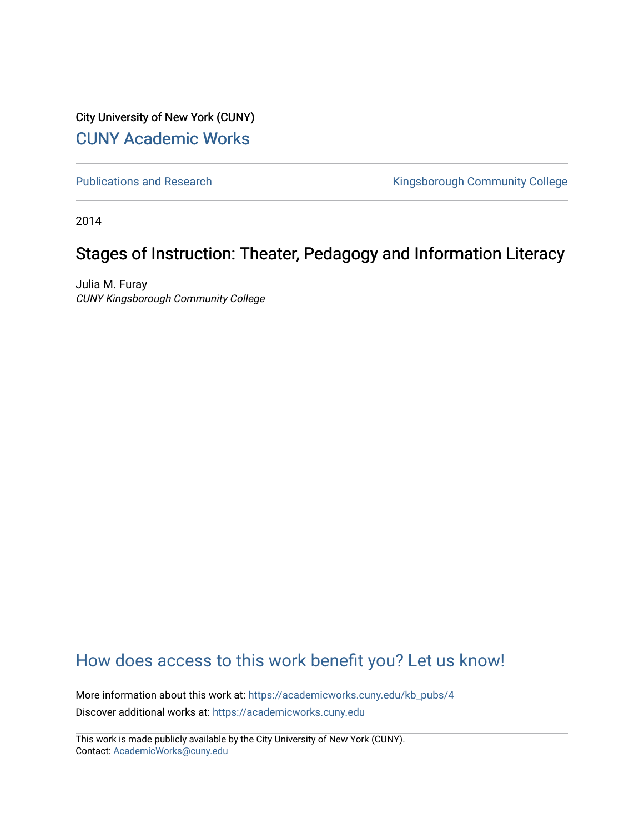City University of New York (CUNY) [CUNY Academic Works](https://academicworks.cuny.edu/) 

[Publications and Research](https://academicworks.cuny.edu/kb_pubs) **Exercise 2018** Kingsborough Community College

2014

# Stages of Instruction: Theater, Pedagogy and Information Literacy

Julia M. Furay CUNY Kingsborough Community College

# [How does access to this work benefit you? Let us know!](http://ols.cuny.edu/academicworks/?ref=https://academicworks.cuny.edu/kb_pubs/4)

More information about this work at: [https://academicworks.cuny.edu/kb\\_pubs/4](https://academicworks.cuny.edu/kb_pubs/4)  Discover additional works at: [https://academicworks.cuny.edu](https://academicworks.cuny.edu/?)

This work is made publicly available by the City University of New York (CUNY). Contact: [AcademicWorks@cuny.edu](mailto:AcademicWorks@cuny.edu)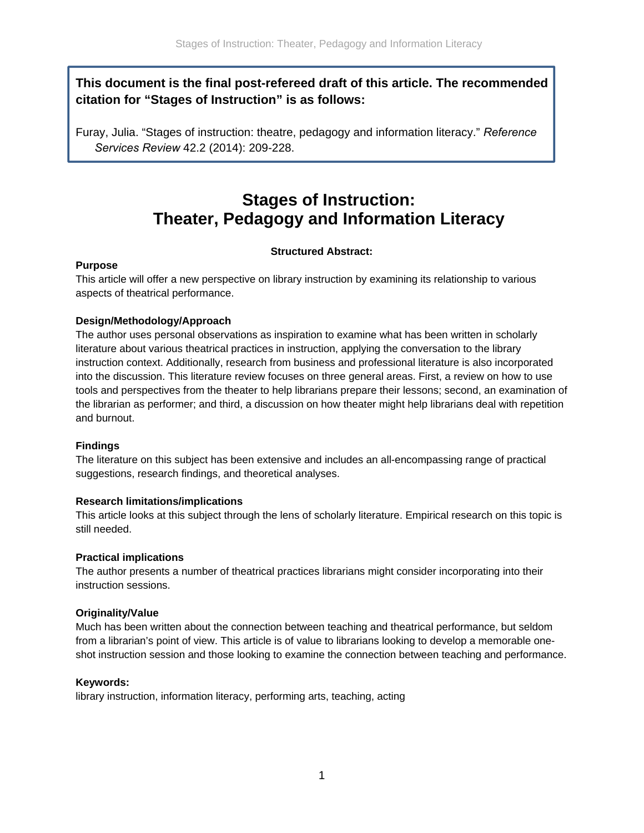# **This document is the final post-refereed draft of this article. The recommended citation for "Stages of Instruction" is as follows:**

Furay, Julia. "Stages of instruction: theatre, pedagogy and information literacy." *Reference Services Review* 42.2 (2014): 209-228.

# **Stages of Instruction: Theater, Pedagogy and Information Literacy**

# **Structured Abstract:**

### **Purpose**

This article will offer a new perspective on library instruction by examining its relationship to various aspects of theatrical performance.

# **Design/Methodology/Approach**

The author uses personal observations as inspiration to examine what has been written in scholarly literature about various theatrical practices in instruction, applying the conversation to the library instruction context. Additionally, research from business and professional literature is also incorporated into the discussion. This literature review focuses on three general areas. First, a review on how to use tools and perspectives from the theater to help librarians prepare their lessons; second, an examination of the librarian as performer; and third, a discussion on how theater might help librarians deal with repetition and burnout.

### **Findings**

The literature on this subject has been extensive and includes an all-encompassing range of practical suggestions, research findings, and theoretical analyses.

### **Research limitations/implications**

This article looks at this subject through the lens of scholarly literature. Empirical research on this topic is still needed.

### **Practical implications**

The author presents a number of theatrical practices librarians might consider incorporating into their instruction sessions.

### **Originality/Value**

Much has been written about the connection between teaching and theatrical performance, but seldom from a librarian's point of view. This article is of value to librarians looking to develop a memorable oneshot instruction session and those looking to examine the connection between teaching and performance.

### **Keywords:**

library instruction, information literacy, performing arts, teaching, acting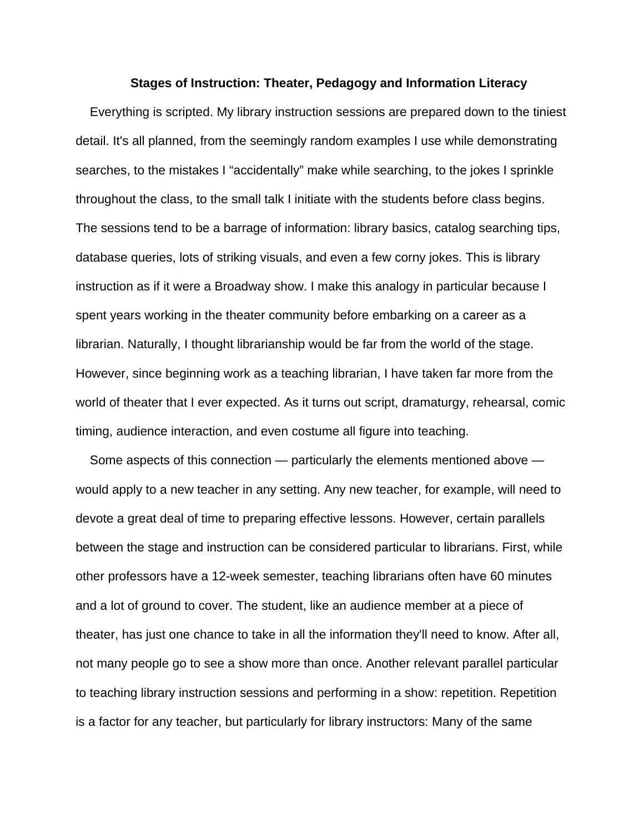#### **Stages of Instruction: Theater, Pedagogy and Information Literacy**

Everything is scripted. My library instruction sessions are prepared down to the tiniest detail. It's all planned, from the seemingly random examples I use while demonstrating searches, to the mistakes I "accidentally" make while searching, to the jokes I sprinkle throughout the class, to the small talk I initiate with the students before class begins. The sessions tend to be a barrage of information: library basics, catalog searching tips, database queries, lots of striking visuals, and even a few corny jokes. This is library instruction as if it were a Broadway show. I make this analogy in particular because I spent years working in the theater community before embarking on a career as a librarian. Naturally, I thought librarianship would be far from the world of the stage. However, since beginning work as a teaching librarian, I have taken far more from the world of theater that I ever expected. As it turns out script, dramaturgy, rehearsal, comic timing, audience interaction, and even costume all figure into teaching.

Some aspects of this connection — particularly the elements mentioned above would apply to a new teacher in any setting. Any new teacher, for example, will need to devote a great deal of time to preparing effective lessons. However, certain parallels between the stage and instruction can be considered particular to librarians. First, while other professors have a 12-week semester, teaching librarians often have 60 minutes and a lot of ground to cover. The student, like an audience member at a piece of theater, has just one chance to take in all the information they'll need to know. After all, not many people go to see a show more than once. Another relevant parallel particular to teaching library instruction sessions and performing in a show: repetition. Repetition is a factor for any teacher, but particularly for library instructors: Many of the same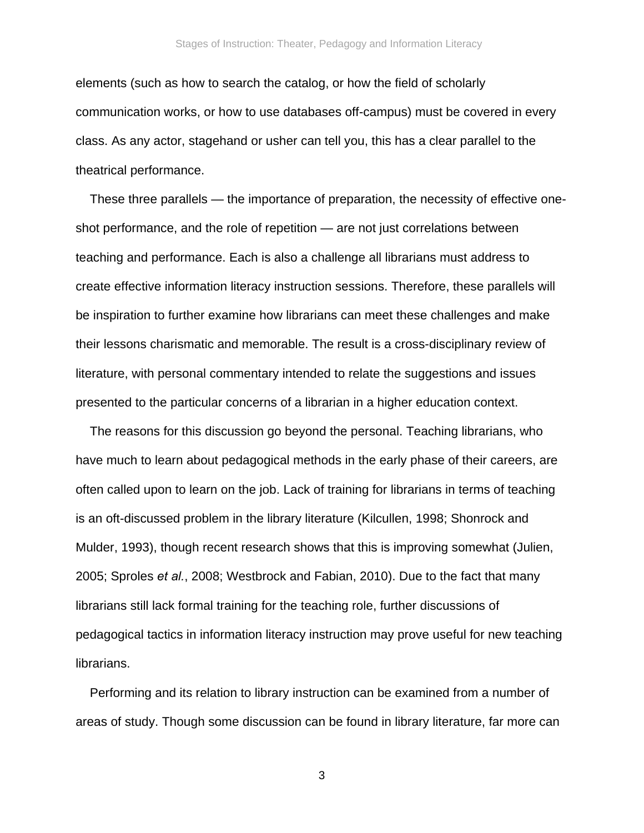elements (such as how to search the catalog, or how the field of scholarly communication works, or how to use databases off-campus) must be covered in every class. As any actor, stagehand or usher can tell you, this has a clear parallel to the theatrical performance.

These three parallels — the importance of preparation, the necessity of effective oneshot performance, and the role of repetition — are not just correlations between teaching and performance. Each is also a challenge all librarians must address to create effective information literacy instruction sessions. Therefore, these parallels will be inspiration to further examine how librarians can meet these challenges and make their lessons charismatic and memorable. The result is a cross-disciplinary review of literature, with personal commentary intended to relate the suggestions and issues presented to the particular concerns of a librarian in a higher education context.

The reasons for this discussion go beyond the personal. Teaching librarians, who have much to learn about pedagogical methods in the early phase of their careers, are often called upon to learn on the job. Lack of training for librarians in terms of teaching is an oft-discussed problem in the library literature (Kilcullen, 1998; Shonrock and Mulder, 1993), though recent research shows that this is improving somewhat (Julien, 2005; Sproles *et al.*, 2008; Westbrock and Fabian, 2010). Due to the fact that many librarians still lack formal training for the teaching role, further discussions of pedagogical tactics in information literacy instruction may prove useful for new teaching librarians.

Performing and its relation to library instruction can be examined from a number of areas of study. Though some discussion can be found in library literature, far more can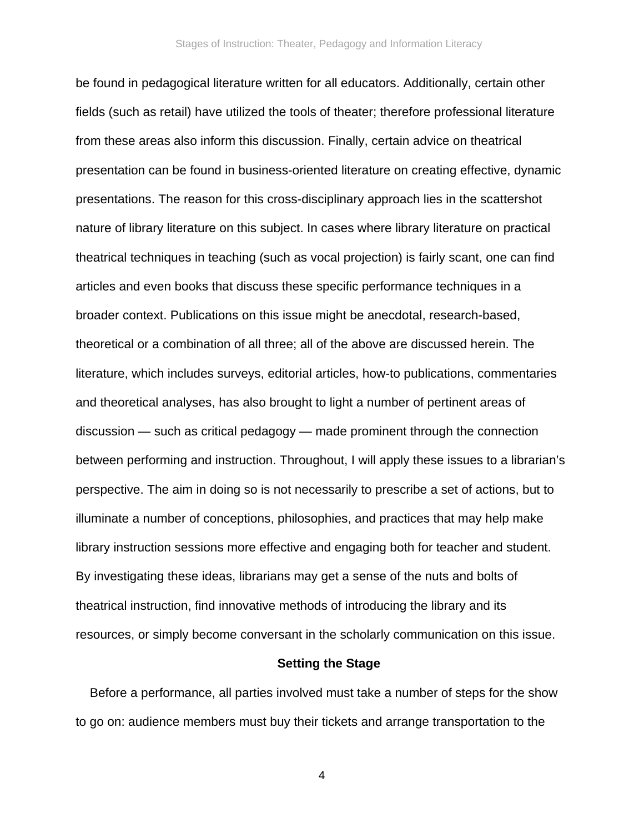be found in pedagogical literature written for all educators. Additionally, certain other fields (such as retail) have utilized the tools of theater; therefore professional literature from these areas also inform this discussion. Finally, certain advice on theatrical presentation can be found in business-oriented literature on creating effective, dynamic presentations. The reason for this cross-disciplinary approach lies in the scattershot nature of library literature on this subject. In cases where library literature on practical theatrical techniques in teaching (such as vocal projection) is fairly scant, one can find articles and even books that discuss these specific performance techniques in a broader context. Publications on this issue might be anecdotal, research-based, theoretical or a combination of all three; all of the above are discussed herein. The literature, which includes surveys, editorial articles, how-to publications, commentaries and theoretical analyses, has also brought to light a number of pertinent areas of discussion — such as critical pedagogy — made prominent through the connection between performing and instruction. Throughout, I will apply these issues to a librarian's perspective. The aim in doing so is not necessarily to prescribe a set of actions, but to illuminate a number of conceptions, philosophies, and practices that may help make library instruction sessions more effective and engaging both for teacher and student. By investigating these ideas, librarians may get a sense of the nuts and bolts of theatrical instruction, find innovative methods of introducing the library and its resources, or simply become conversant in the scholarly communication on this issue.

#### **Setting the Stage**

Before a performance, all parties involved must take a number of steps for the show to go on: audience members must buy their tickets and arrange transportation to the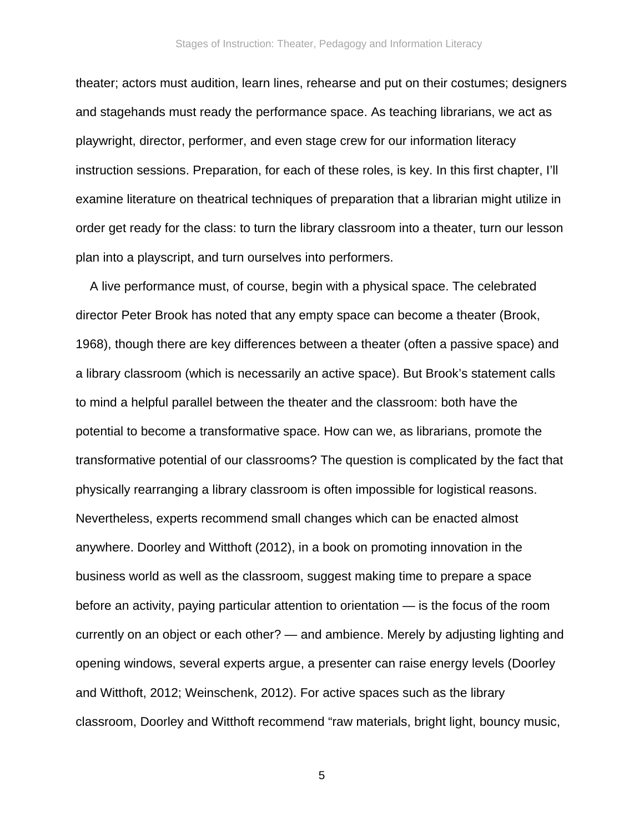theater; actors must audition, learn lines, rehearse and put on their costumes; designers and stagehands must ready the performance space. As teaching librarians, we act as playwright, director, performer, and even stage crew for our information literacy instruction sessions. Preparation, for each of these roles, is key. In this first chapter, I'll examine literature on theatrical techniques of preparation that a librarian might utilize in order get ready for the class: to turn the library classroom into a theater, turn our lesson plan into a playscript, and turn ourselves into performers.

A live performance must, of course, begin with a physical space. The celebrated director Peter Brook has noted that any empty space can become a theater (Brook, 1968), though there are key differences between a theater (often a passive space) and a library classroom (which is necessarily an active space). But Brook's statement calls to mind a helpful parallel between the theater and the classroom: both have the potential to become a transformative space. How can we, as librarians, promote the transformative potential of our classrooms? The question is complicated by the fact that physically rearranging a library classroom is often impossible for logistical reasons. Nevertheless, experts recommend small changes which can be enacted almost anywhere. Doorley and Witthoft (2012), in a book on promoting innovation in the business world as well as the classroom, suggest making time to prepare a space before an activity, paying particular attention to orientation — is the focus of the room currently on an object or each other? — and ambience. Merely by adjusting lighting and opening windows, several experts argue, a presenter can raise energy levels (Doorley and Witthoft, 2012; Weinschenk, 2012). For active spaces such as the library classroom, Doorley and Witthoft recommend "raw materials, bright light, bouncy music,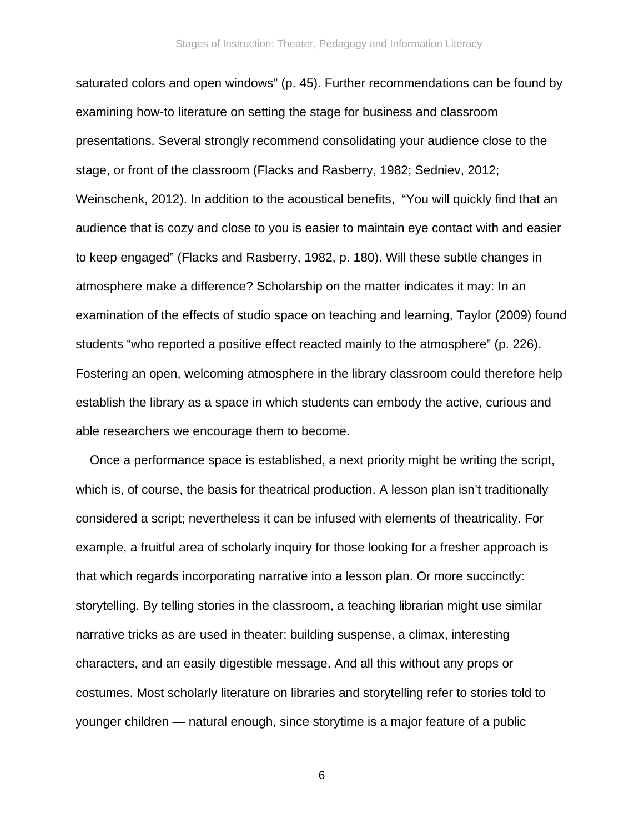saturated colors and open windows" (p. 45). Further recommendations can be found by examining how-to literature on setting the stage for business and classroom presentations. Several strongly recommend consolidating your audience close to the stage, or front of the classroom (Flacks and Rasberry, 1982; Sedniev, 2012; Weinschenk, 2012). In addition to the acoustical benefits, "You will quickly find that an audience that is cozy and close to you is easier to maintain eye contact with and easier to keep engaged" (Flacks and Rasberry, 1982, p. 180). Will these subtle changes in atmosphere make a difference? Scholarship on the matter indicates it may: In an examination of the effects of studio space on teaching and learning, Taylor (2009) found students "who reported a positive effect reacted mainly to the atmosphere" (p. 226). Fostering an open, welcoming atmosphere in the library classroom could therefore help establish the library as a space in which students can embody the active, curious and able researchers we encourage them to become.

Once a performance space is established, a next priority might be writing the script, which is, of course, the basis for theatrical production. A lesson plan isn't traditionally considered a script; nevertheless it can be infused with elements of theatricality. For example, a fruitful area of scholarly inquiry for those looking for a fresher approach is that which regards incorporating narrative into a lesson plan. Or more succinctly: storytelling. By telling stories in the classroom, a teaching librarian might use similar narrative tricks as are used in theater: building suspense, a climax, interesting characters, and an easily digestible message. And all this without any props or costumes. Most scholarly literature on libraries and storytelling refer to stories told to younger children — natural enough, since storytime is a major feature of a public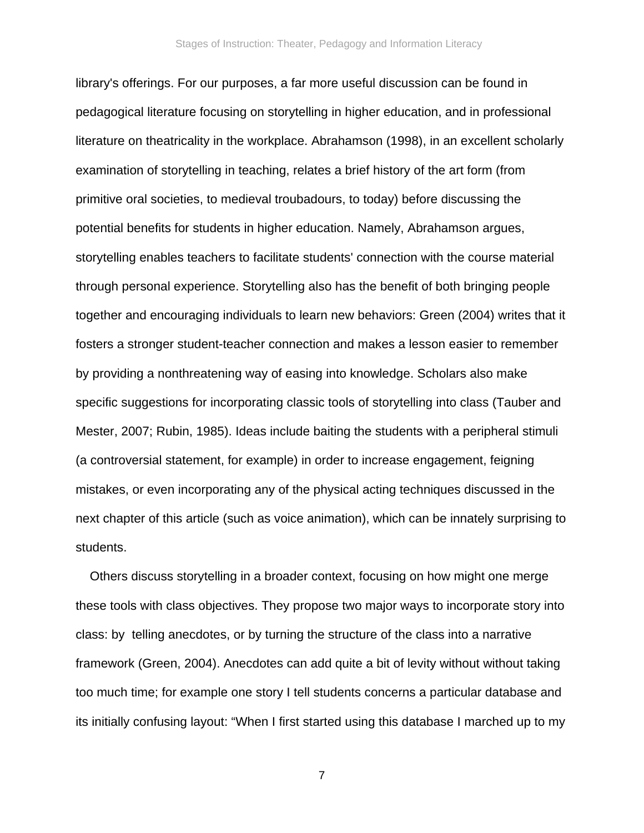library's offerings. For our purposes, a far more useful discussion can be found in pedagogical literature focusing on storytelling in higher education, and in professional literature on theatricality in the workplace. Abrahamson (1998), in an excellent scholarly examination of storytelling in teaching, relates a brief history of the art form (from primitive oral societies, to medieval troubadours, to today) before discussing the potential benefits for students in higher education. Namely, Abrahamson argues, storytelling enables teachers to facilitate students' connection with the course material through personal experience. Storytelling also has the benefit of both bringing people together and encouraging individuals to learn new behaviors: Green (2004) writes that it fosters a stronger student-teacher connection and makes a lesson easier to remember by providing a nonthreatening way of easing into knowledge. Scholars also make specific suggestions for incorporating classic tools of storytelling into class (Tauber and Mester, 2007; Rubin, 1985). Ideas include baiting the students with a peripheral stimuli (a controversial statement, for example) in order to increase engagement, feigning mistakes, or even incorporating any of the physical acting techniques discussed in the next chapter of this article (such as voice animation), which can be innately surprising to students.

Others discuss storytelling in a broader context, focusing on how might one merge these tools with class objectives. They propose two major ways to incorporate story into class: by telling anecdotes, or by turning the structure of the class into a narrative framework (Green, 2004). Anecdotes can add quite a bit of levity without without taking too much time; for example one story I tell students concerns a particular database and its initially confusing layout: "When I first started using this database I marched up to my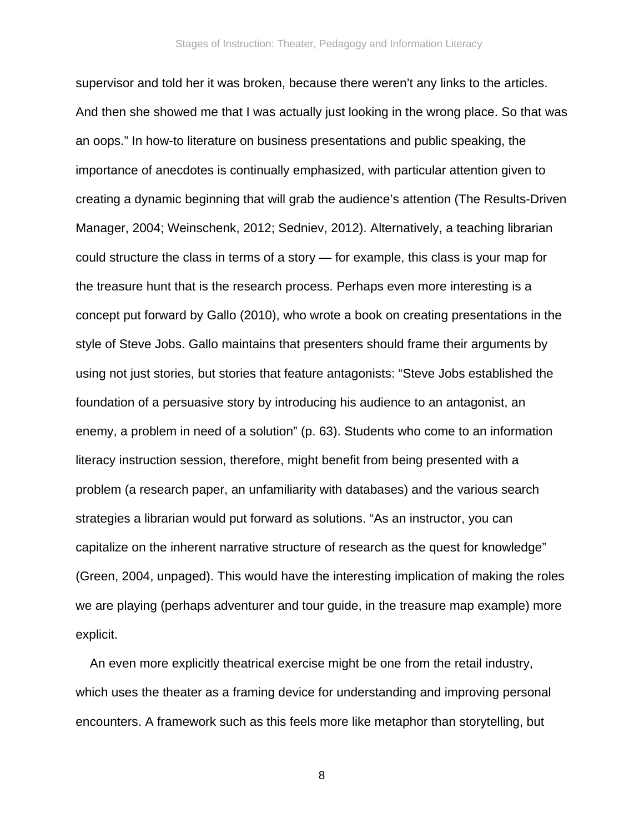supervisor and told her it was broken, because there weren't any links to the articles. And then she showed me that I was actually just looking in the wrong place. So that was an oops." In how-to literature on business presentations and public speaking, the importance of anecdotes is continually emphasized, with particular attention given to creating a dynamic beginning that will grab the audience's attention (The Results-Driven Manager, 2004; Weinschenk, 2012; Sedniev, 2012). Alternatively, a teaching librarian could structure the class in terms of a story — for example, this class is your map for the treasure hunt that is the research process. Perhaps even more interesting is a concept put forward by Gallo (2010), who wrote a book on creating presentations in the style of Steve Jobs. Gallo maintains that presenters should frame their arguments by using not just stories, but stories that feature antagonists: "Steve Jobs established the foundation of a persuasive story by introducing his audience to an antagonist, an enemy, a problem in need of a solution" (p. 63). Students who come to an information literacy instruction session, therefore, might benefit from being presented with a problem (a research paper, an unfamiliarity with databases) and the various search strategies a librarian would put forward as solutions. "As an instructor, you can capitalize on the inherent narrative structure of research as the quest for knowledge" (Green, 2004, unpaged). This would have the interesting implication of making the roles we are playing (perhaps adventurer and tour guide, in the treasure map example) more explicit.

An even more explicitly theatrical exercise might be one from the retail industry, which uses the theater as a framing device for understanding and improving personal encounters. A framework such as this feels more like metaphor than storytelling, but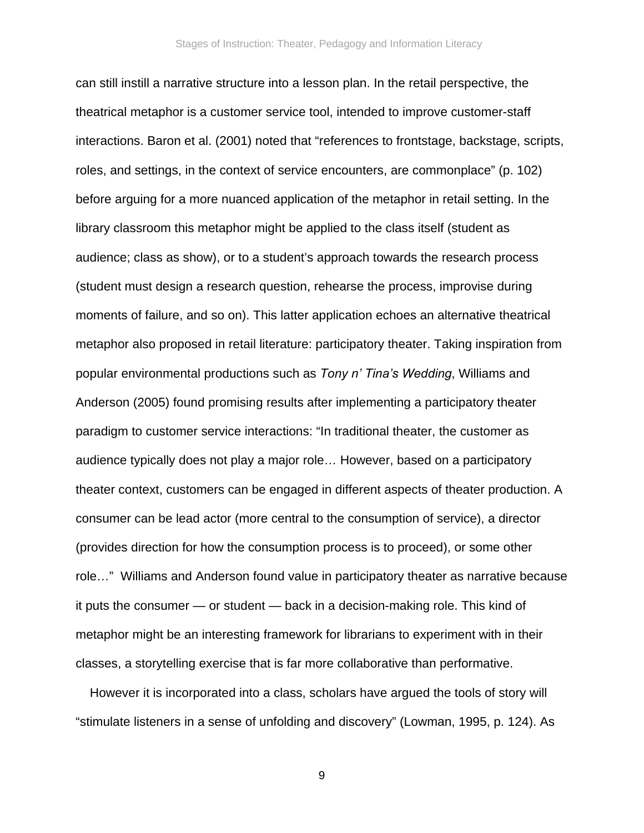can still instill a narrative structure into a lesson plan. In the retail perspective, the theatrical metaphor is a customer service tool, intended to improve customer-staff interactions. Baron et al. (2001) noted that "references to frontstage, backstage, scripts, roles, and settings, in the context of service encounters, are commonplace" (p. 102) before arguing for a more nuanced application of the metaphor in retail setting. In the library classroom this metaphor might be applied to the class itself (student as audience; class as show), or to a student's approach towards the research process (student must design a research question, rehearse the process, improvise during moments of failure, and so on). This latter application echoes an alternative theatrical metaphor also proposed in retail literature: participatory theater. Taking inspiration from popular environmental productions such as *Tony n' Tina's Wedding*, Williams and Anderson (2005) found promising results after implementing a participatory theater paradigm to customer service interactions: "In traditional theater, the customer as audience typically does not play a major role… However, based on a participatory theater context, customers can be engaged in different aspects of theater production. A consumer can be lead actor (more central to the consumption of service), a director (provides direction for how the consumption process is to proceed), or some other role…" Williams and Anderson found value in participatory theater as narrative because it puts the consumer — or student — back in a decision-making role. This kind of metaphor might be an interesting framework for librarians to experiment with in their classes, a storytelling exercise that is far more collaborative than performative.

However it is incorporated into a class, scholars have argued the tools of story will "stimulate listeners in a sense of unfolding and discovery" (Lowman, 1995, p. 124). As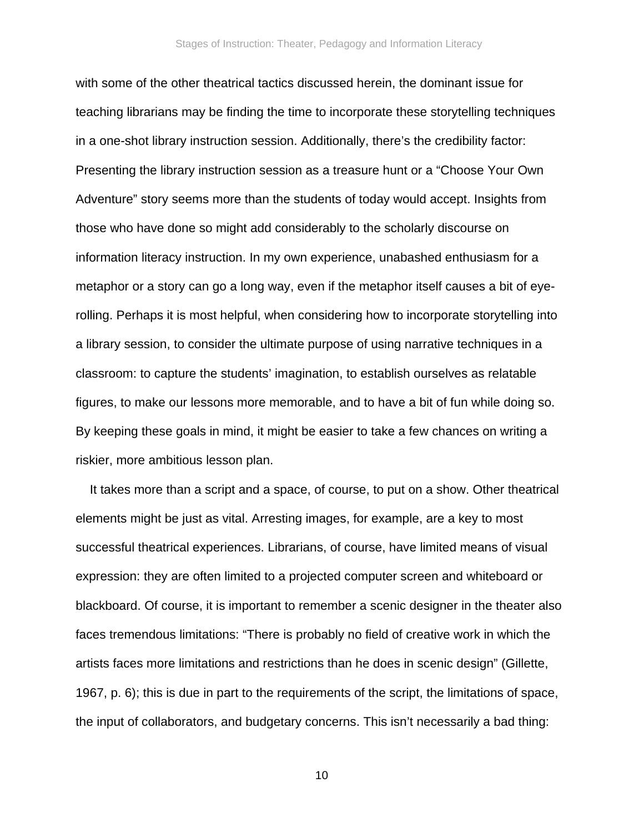with some of the other theatrical tactics discussed herein, the dominant issue for teaching librarians may be finding the time to incorporate these storytelling techniques in a one-shot library instruction session. Additionally, there's the credibility factor: Presenting the library instruction session as a treasure hunt or a "Choose Your Own Adventure" story seems more than the students of today would accept. Insights from those who have done so might add considerably to the scholarly discourse on information literacy instruction. In my own experience, unabashed enthusiasm for a metaphor or a story can go a long way, even if the metaphor itself causes a bit of eyerolling. Perhaps it is most helpful, when considering how to incorporate storytelling into a library session, to consider the ultimate purpose of using narrative techniques in a classroom: to capture the students' imagination, to establish ourselves as relatable figures, to make our lessons more memorable, and to have a bit of fun while doing so. By keeping these goals in mind, it might be easier to take a few chances on writing a riskier, more ambitious lesson plan.

It takes more than a script and a space, of course, to put on a show. Other theatrical elements might be just as vital. Arresting images, for example, are a key to most successful theatrical experiences. Librarians, of course, have limited means of visual expression: they are often limited to a projected computer screen and whiteboard or blackboard. Of course, it is important to remember a scenic designer in the theater also faces tremendous limitations: "There is probably no field of creative work in which the artists faces more limitations and restrictions than he does in scenic design" (Gillette, 1967, p. 6); this is due in part to the requirements of the script, the limitations of space, the input of collaborators, and budgetary concerns. This isn't necessarily a bad thing: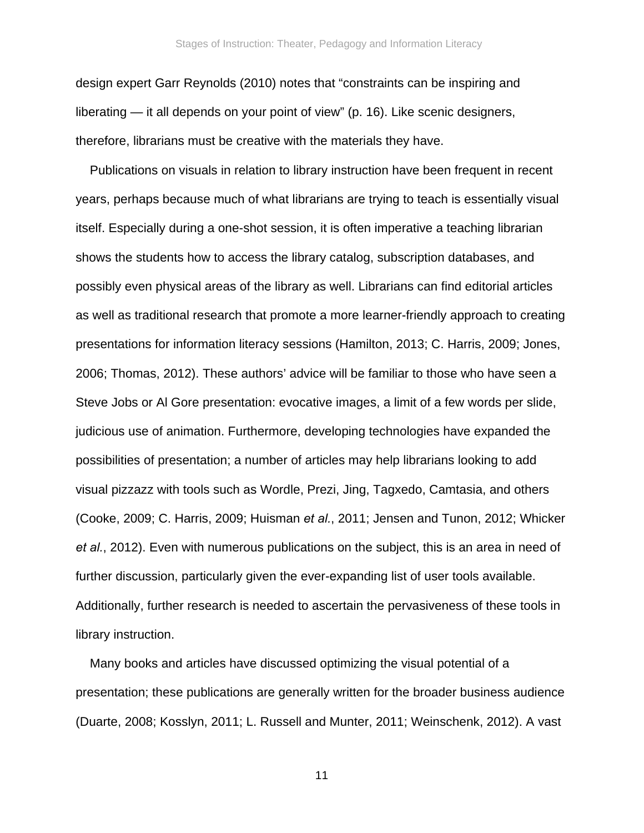design expert Garr Reynolds (2010) notes that "constraints can be inspiring and liberating — it all depends on your point of view" (p. 16). Like scenic designers, therefore, librarians must be creative with the materials they have.

Publications on visuals in relation to library instruction have been frequent in recent years, perhaps because much of what librarians are trying to teach is essentially visual itself. Especially during a one-shot session, it is often imperative a teaching librarian shows the students how to access the library catalog, subscription databases, and possibly even physical areas of the library as well. Librarians can find editorial articles as well as traditional research that promote a more learner-friendly approach to creating presentations for information literacy sessions (Hamilton, 2013; C. Harris, 2009; Jones, 2006; Thomas, 2012). These authors' advice will be familiar to those who have seen a Steve Jobs or Al Gore presentation: evocative images, a limit of a few words per slide, judicious use of animation. Furthermore, developing technologies have expanded the possibilities of presentation; a number of articles may help librarians looking to add visual pizzazz with tools such as Wordle, Prezi, Jing, Tagxedo, Camtasia, and others (Cooke, 2009; C. Harris, 2009; Huisman *et al.*, 2011; Jensen and Tunon, 2012; Whicker *et al.*, 2012). Even with numerous publications on the subject, this is an area in need of further discussion, particularly given the ever-expanding list of user tools available. Additionally, further research is needed to ascertain the pervasiveness of these tools in library instruction.

Many books and articles have discussed optimizing the visual potential of a presentation; these publications are generally written for the broader business audience (Duarte, 2008; Kosslyn, 2011; L. Russell and Munter, 2011; Weinschenk, 2012). A vast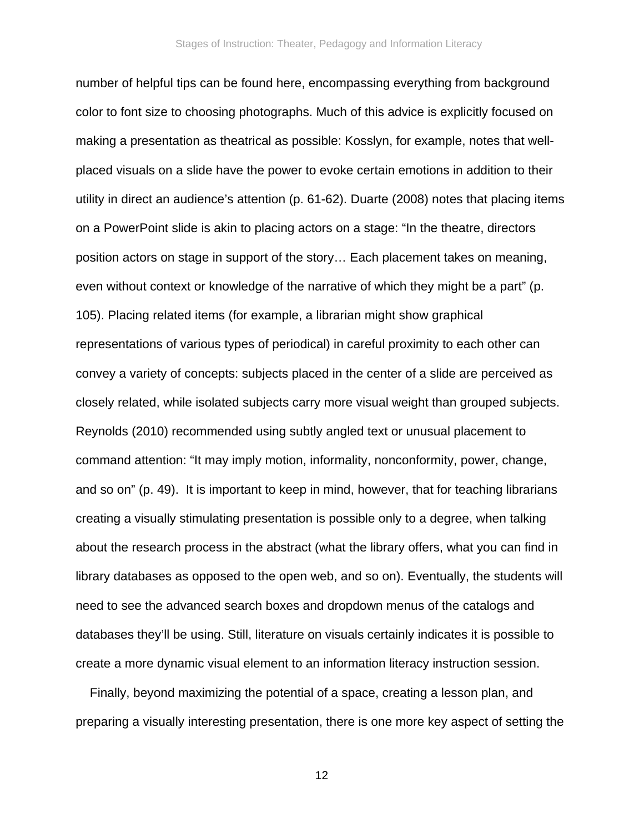number of helpful tips can be found here, encompassing everything from background color to font size to choosing photographs. Much of this advice is explicitly focused on making a presentation as theatrical as possible: Kosslyn, for example, notes that wellplaced visuals on a slide have the power to evoke certain emotions in addition to their utility in direct an audience's attention (p. 61-62). Duarte (2008) notes that placing items on a PowerPoint slide is akin to placing actors on a stage: "In the theatre, directors position actors on stage in support of the story… Each placement takes on meaning, even without context or knowledge of the narrative of which they might be a part" (p. 105). Placing related items (for example, a librarian might show graphical representations of various types of periodical) in careful proximity to each other can convey a variety of concepts: subjects placed in the center of a slide are perceived as closely related, while isolated subjects carry more visual weight than grouped subjects. Reynolds (2010) recommended using subtly angled text or unusual placement to command attention: "It may imply motion, informality, nonconformity, power, change, and so on" (p. 49). It is important to keep in mind, however, that for teaching librarians creating a visually stimulating presentation is possible only to a degree, when talking about the research process in the abstract (what the library offers, what you can find in library databases as opposed to the open web, and so on). Eventually, the students will need to see the advanced search boxes and dropdown menus of the catalogs and databases they'll be using. Still, literature on visuals certainly indicates it is possible to create a more dynamic visual element to an information literacy instruction session.

Finally, beyond maximizing the potential of a space, creating a lesson plan, and preparing a visually interesting presentation, there is one more key aspect of setting the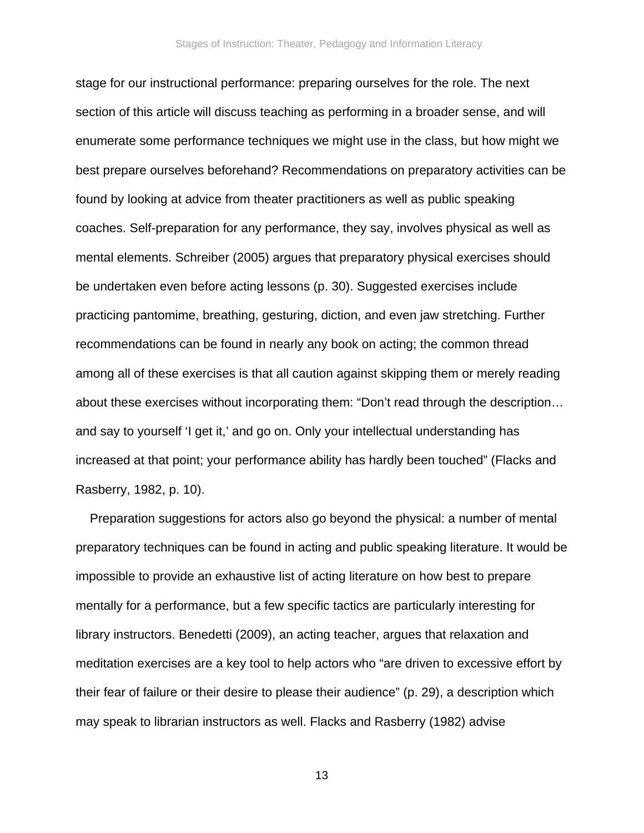stage for our instructional performance: preparing ourselves for the role. The next section of this article will discuss teaching as performing in a broader sense, and will enumerate some performance techniques we might use in the class, but how might we best prepare ourselves beforehand? Recommendations on preparatory activities can be found by looking at advice from theater practitioners as well as public speaking coaches. Self-preparation for any performance, they say, involves physical as well as mental elements. Schreiber (2005) argues that preparatory physical exercises should be undertaken even before acting lessons (p. 30). Suggested exercises include practicing pantomime, breathing, gesturing, diction, and even jaw stretching. Further recommendations can be found in nearly any book on acting; the common thread among all of these exercises is that all caution against skipping them or merely reading about these exercises without incorporating them: "Don't read through the description… and say to yourself 'I get it,' and go on. Only your intellectual understanding has increased at that point; your performance ability has hardly been touched" (Flacks and Rasberry, 1982, p. 10).

Preparation suggestions for actors also go beyond the physical: a number of mental preparatory techniques can be found in acting and public speaking literature. It would be impossible to provide an exhaustive list of acting literature on how best to prepare mentally for a performance, but a few specific tactics are particularly interesting for library instructors. Benedetti (2009), an acting teacher, argues that relaxation and meditation exercises are a key tool to help actors who "are driven to excessive effort by their fear of failure or their desire to please their audience" (p. 29), a description which may speak to librarian instructors as well. Flacks and Rasberry (1982) advise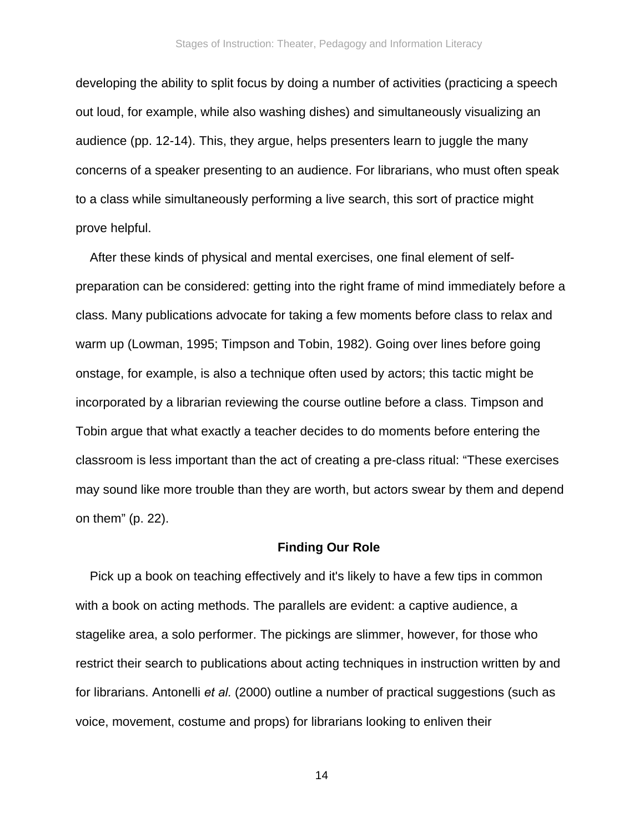developing the ability to split focus by doing a number of activities (practicing a speech out loud, for example, while also washing dishes) and simultaneously visualizing an audience (pp. 12-14). This, they argue, helps presenters learn to juggle the many concerns of a speaker presenting to an audience. For librarians, who must often speak to a class while simultaneously performing a live search, this sort of practice might prove helpful.

After these kinds of physical and mental exercises, one final element of selfpreparation can be considered: getting into the right frame of mind immediately before a class. Many publications advocate for taking a few moments before class to relax and warm up (Lowman, 1995; Timpson and Tobin, 1982). Going over lines before going onstage, for example, is also a technique often used by actors; this tactic might be incorporated by a librarian reviewing the course outline before a class. Timpson and Tobin argue that what exactly a teacher decides to do moments before entering the classroom is less important than the act of creating a pre-class ritual: "These exercises may sound like more trouble than they are worth, but actors swear by them and depend on them" (p. 22).

#### **Finding Our Role**

Pick up a book on teaching effectively and it's likely to have a few tips in common with a book on acting methods. The parallels are evident: a captive audience, a stagelike area, a solo performer. The pickings are slimmer, however, for those who restrict their search to publications about acting techniques in instruction written by and for librarians. Antonelli *et al.* (2000) outline a number of practical suggestions (such as voice, movement, costume and props) for librarians looking to enliven their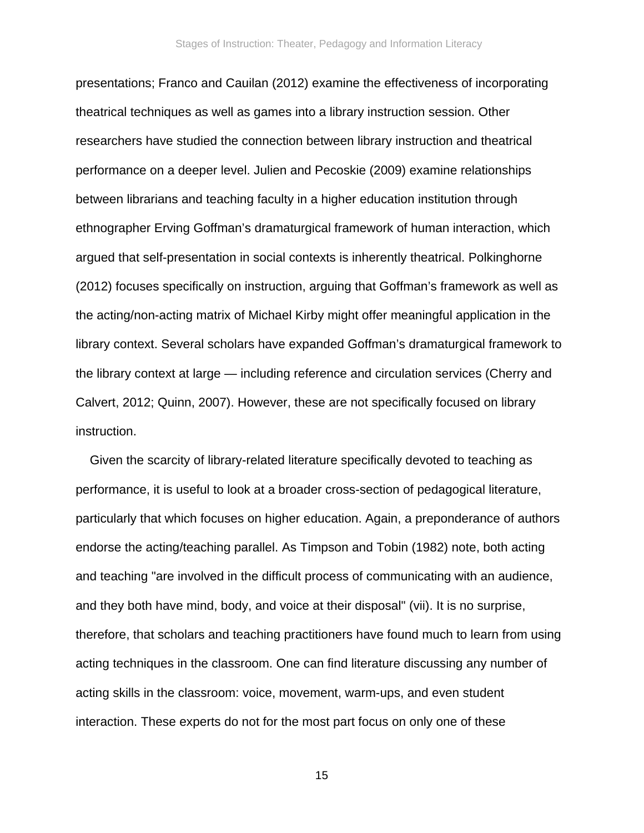presentations; Franco and Cauilan (2012) examine the effectiveness of incorporating theatrical techniques as well as games into a library instruction session. Other researchers have studied the connection between library instruction and theatrical performance on a deeper level. Julien and Pecoskie (2009) examine relationships between librarians and teaching faculty in a higher education institution through ethnographer Erving Goffman's dramaturgical framework of human interaction, which argued that self-presentation in social contexts is inherently theatrical. Polkinghorne (2012) focuses specifically on instruction, arguing that Goffman's framework as well as the acting/non-acting matrix of Michael Kirby might offer meaningful application in the library context. Several scholars have expanded Goffman's dramaturgical framework to the library context at large — including reference and circulation services (Cherry and Calvert, 2012; Quinn, 2007). However, these are not specifically focused on library instruction.

Given the scarcity of library-related literature specifically devoted to teaching as performance, it is useful to look at a broader cross-section of pedagogical literature, particularly that which focuses on higher education. Again, a preponderance of authors endorse the acting/teaching parallel. As Timpson and Tobin (1982) note, both acting and teaching "are involved in the difficult process of communicating with an audience, and they both have mind, body, and voice at their disposal" (vii). It is no surprise, therefore, that scholars and teaching practitioners have found much to learn from using acting techniques in the classroom. One can find literature discussing any number of acting skills in the classroom: voice, movement, warm-ups, and even student interaction. These experts do not for the most part focus on only one of these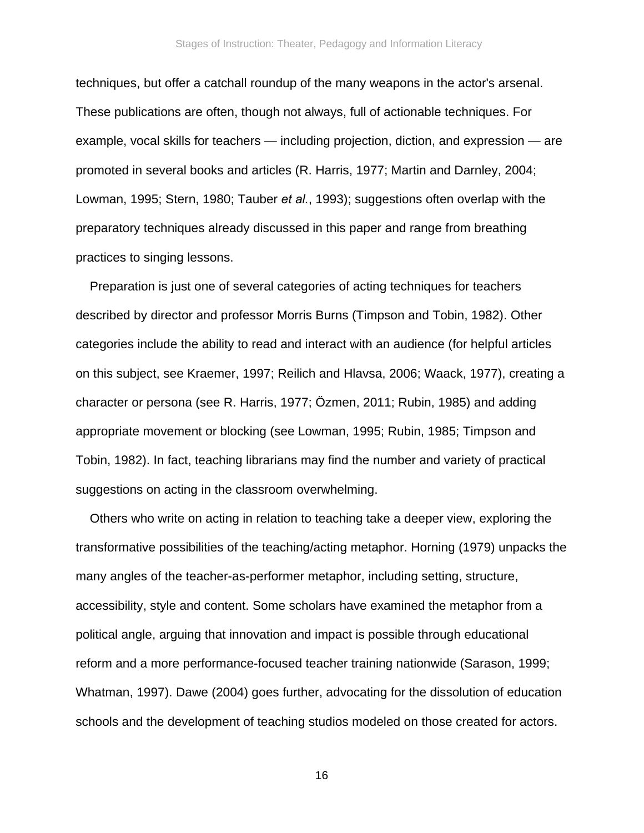techniques, but offer a catchall roundup of the many weapons in the actor's arsenal. These publications are often, though not always, full of actionable techniques. For example, vocal skills for teachers — including projection, diction, and expression — are promoted in several books and articles (R. Harris, 1977; Martin and Darnley, 2004; Lowman, 1995; Stern, 1980; Tauber *et al.*, 1993); suggestions often overlap with the preparatory techniques already discussed in this paper and range from breathing practices to singing lessons.

Preparation is just one of several categories of acting techniques for teachers described by director and professor Morris Burns (Timpson and Tobin, 1982). Other categories include the ability to read and interact with an audience (for helpful articles on this subject, see Kraemer, 1997; Reilich and Hlavsa, 2006; Waack, 1977), creating a character or persona (see R. Harris, 1977; Özmen, 2011; Rubin, 1985) and adding appropriate movement or blocking (see Lowman, 1995; Rubin, 1985; Timpson and Tobin, 1982). In fact, teaching librarians may find the number and variety of practical suggestions on acting in the classroom overwhelming.

Others who write on acting in relation to teaching take a deeper view, exploring the transformative possibilities of the teaching/acting metaphor. Horning (1979) unpacks the many angles of the teacher-as-performer metaphor, including setting, structure, accessibility, style and content. Some scholars have examined the metaphor from a political angle, arguing that innovation and impact is possible through educational reform and a more performance-focused teacher training nationwide (Sarason, 1999; Whatman, 1997). Dawe (2004) goes further, advocating for the dissolution of education schools and the development of teaching studios modeled on those created for actors.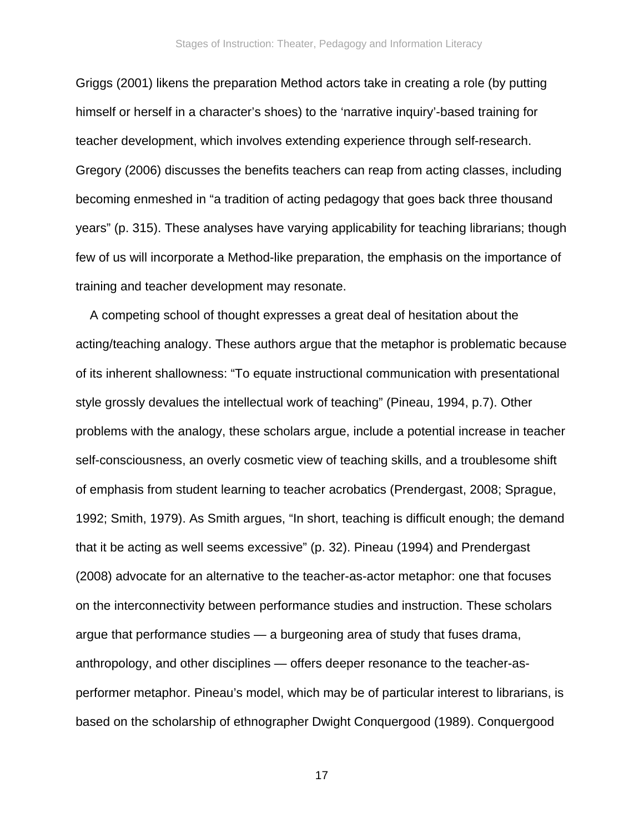Griggs (2001) likens the preparation Method actors take in creating a role (by putting himself or herself in a character's shoes) to the 'narrative inquiry'-based training for teacher development, which involves extending experience through self-research. Gregory (2006) discusses the benefits teachers can reap from acting classes, including becoming enmeshed in "a tradition of acting pedagogy that goes back three thousand years" (p. 315). These analyses have varying applicability for teaching librarians; though few of us will incorporate a Method-like preparation, the emphasis on the importance of training and teacher development may resonate.

A competing school of thought expresses a great deal of hesitation about the acting/teaching analogy. These authors argue that the metaphor is problematic because of its inherent shallowness: "To equate instructional communication with presentational style grossly devalues the intellectual work of teaching" (Pineau, 1994, p.7). Other problems with the analogy, these scholars argue, include a potential increase in teacher self-consciousness, an overly cosmetic view of teaching skills, and a troublesome shift of emphasis from student learning to teacher acrobatics (Prendergast, 2008; Sprague, 1992; Smith, 1979). As Smith argues, "In short, teaching is difficult enough; the demand that it be acting as well seems excessive" (p. 32). Pineau (1994) and Prendergast (2008) advocate for an alternative to the teacher-as-actor metaphor: one that focuses on the interconnectivity between performance studies and instruction. These scholars argue that performance studies — a burgeoning area of study that fuses drama, anthropology, and other disciplines — offers deeper resonance to the teacher-asperformer metaphor. Pineau's model, which may be of particular interest to librarians, is based on the scholarship of ethnographer Dwight Conquergood (1989). Conquergood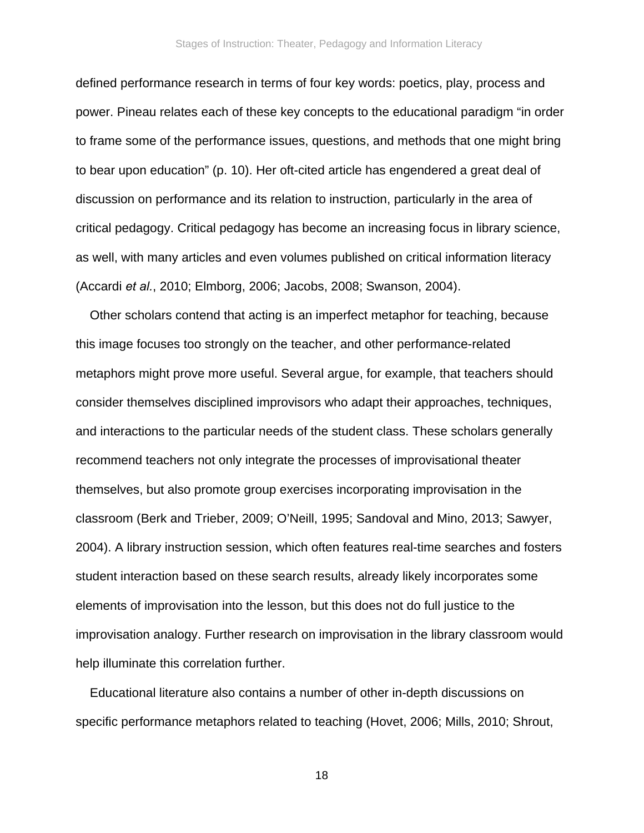defined performance research in terms of four key words: poetics, play, process and power. Pineau relates each of these key concepts to the educational paradigm "in order to frame some of the performance issues, questions, and methods that one might bring to bear upon education" (p. 10). Her oft-cited article has engendered a great deal of discussion on performance and its relation to instruction, particularly in the area of critical pedagogy. Critical pedagogy has become an increasing focus in library science, as well, with many articles and even volumes published on critical information literacy (Accardi *et al.*, 2010; Elmborg, 2006; Jacobs, 2008; Swanson, 2004).

Other scholars contend that acting is an imperfect metaphor for teaching, because this image focuses too strongly on the teacher, and other performance-related metaphors might prove more useful. Several argue, for example, that teachers should consider themselves disciplined improvisors who adapt their approaches, techniques, and interactions to the particular needs of the student class. These scholars generally recommend teachers not only integrate the processes of improvisational theater themselves, but also promote group exercises incorporating improvisation in the classroom (Berk and Trieber, 2009; O'Neill, 1995; Sandoval and Mino, 2013; Sawyer, 2004). A library instruction session, which often features real-time searches and fosters student interaction based on these search results, already likely incorporates some elements of improvisation into the lesson, but this does not do full justice to the improvisation analogy. Further research on improvisation in the library classroom would help illuminate this correlation further.

Educational literature also contains a number of other in-depth discussions on specific performance metaphors related to teaching (Hovet, 2006; Mills, 2010; Shrout,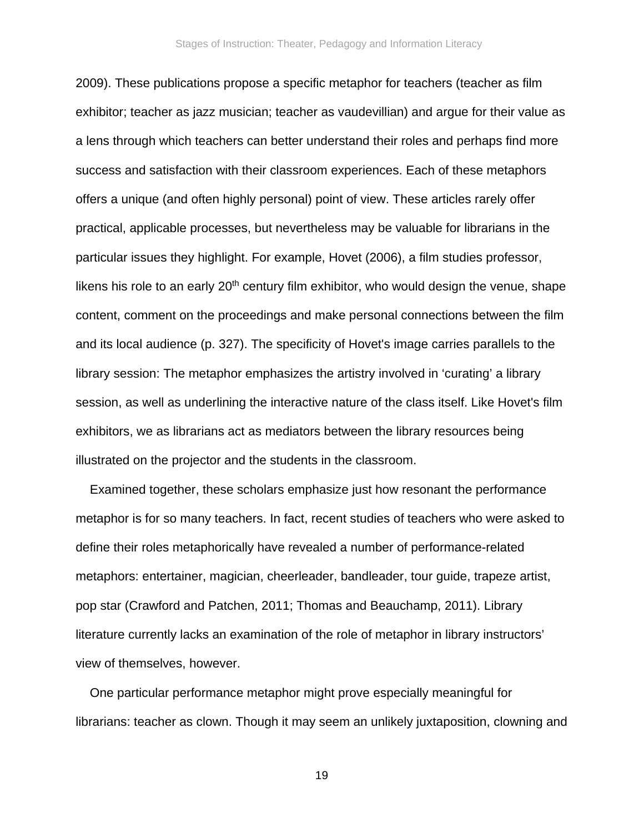2009). These publications propose a specific metaphor for teachers (teacher as film exhibitor; teacher as jazz musician; teacher as vaudevillian) and argue for their value as a lens through which teachers can better understand their roles and perhaps find more success and satisfaction with their classroom experiences. Each of these metaphors offers a unique (and often highly personal) point of view. These articles rarely offer practical, applicable processes, but nevertheless may be valuable for librarians in the particular issues they highlight. For example, Hovet (2006), a film studies professor, likens his role to an early  $20<sup>th</sup>$  century film exhibitor, who would design the venue, shape content, comment on the proceedings and make personal connections between the film and its local audience (p. 327). The specificity of Hovet's image carries parallels to the library session: The metaphor emphasizes the artistry involved in 'curating' a library session, as well as underlining the interactive nature of the class itself. Like Hovet's film exhibitors, we as librarians act as mediators between the library resources being illustrated on the projector and the students in the classroom.

Examined together, these scholars emphasize just how resonant the performance metaphor is for so many teachers. In fact, recent studies of teachers who were asked to define their roles metaphorically have revealed a number of performance-related metaphors: entertainer, magician, cheerleader, bandleader, tour guide, trapeze artist, pop star (Crawford and Patchen, 2011; Thomas and Beauchamp, 2011). Library literature currently lacks an examination of the role of metaphor in library instructors' view of themselves, however.

One particular performance metaphor might prove especially meaningful for librarians: teacher as clown. Though it may seem an unlikely juxtaposition, clowning and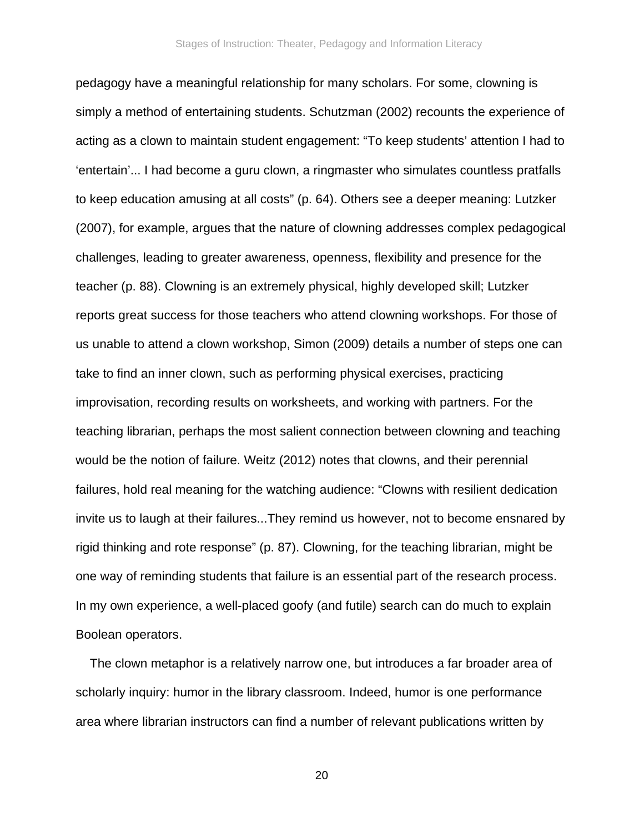pedagogy have a meaningful relationship for many scholars. For some, clowning is simply a method of entertaining students. Schutzman (2002) recounts the experience of acting as a clown to maintain student engagement: "To keep students' attention I had to 'entertain'... I had become a guru clown, a ringmaster who simulates countless pratfalls to keep education amusing at all costs" (p. 64). Others see a deeper meaning: Lutzker (2007), for example, argues that the nature of clowning addresses complex pedagogical challenges, leading to greater awareness, openness, flexibility and presence for the teacher (p. 88). Clowning is an extremely physical, highly developed skill; Lutzker reports great success for those teachers who attend clowning workshops. For those of us unable to attend a clown workshop, Simon (2009) details a number of steps one can take to find an inner clown, such as performing physical exercises, practicing improvisation, recording results on worksheets, and working with partners. For the teaching librarian, perhaps the most salient connection between clowning and teaching would be the notion of failure. Weitz (2012) notes that clowns, and their perennial failures, hold real meaning for the watching audience: "Clowns with resilient dedication invite us to laugh at their failures...They remind us however, not to become ensnared by rigid thinking and rote response" (p. 87). Clowning, for the teaching librarian, might be one way of reminding students that failure is an essential part of the research process. In my own experience, a well-placed goofy (and futile) search can do much to explain Boolean operators.

The clown metaphor is a relatively narrow one, but introduces a far broader area of scholarly inquiry: humor in the library classroom. Indeed, humor is one performance area where librarian instructors can find a number of relevant publications written by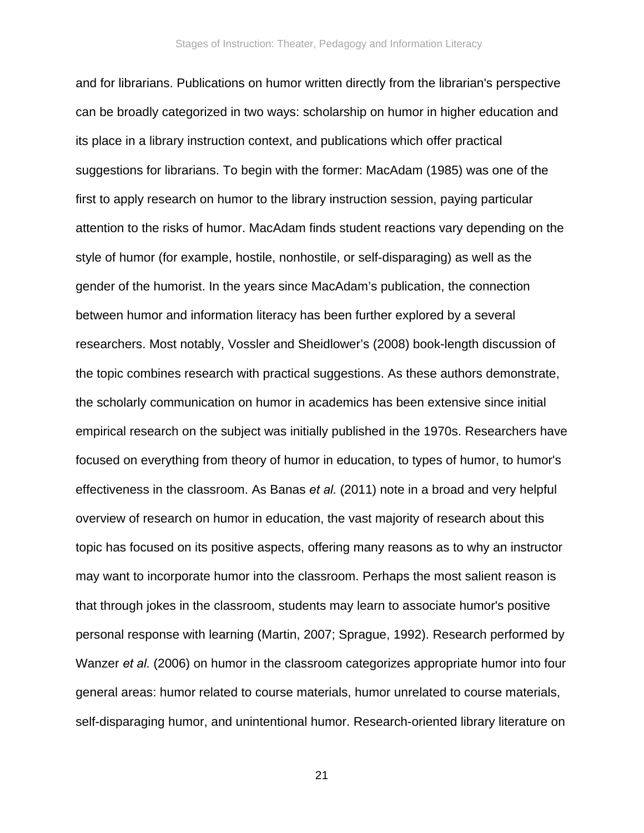and for librarians. Publications on humor written directly from the librarian's perspective can be broadly categorized in two ways: scholarship on humor in higher education and its place in a library instruction context, and publications which offer practical suggestions for librarians. To begin with the former: MacAdam (1985) was one of the first to apply research on humor to the library instruction session, paying particular attention to the risks of humor. MacAdam finds student reactions vary depending on the style of humor (for example, hostile, nonhostile, or self-disparaging) as well as the gender of the humorist. In the years since MacAdam's publication, the connection between humor and information literacy has been further explored by a several researchers. Most notably, Vossler and Sheidlower's (2008) book-length discussion of the topic combines research with practical suggestions. As these authors demonstrate, the scholarly communication on humor in academics has been extensive since initial empirical research on the subject was initially published in the 1970s. Researchers have focused on everything from theory of humor in education, to types of humor, to humor's effectiveness in the classroom. As Banas *et al.* (2011) note in a broad and very helpful overview of research on humor in education, the vast majority of research about this topic has focused on its positive aspects, offering many reasons as to why an instructor may want to incorporate humor into the classroom. Perhaps the most salient reason is that through jokes in the classroom, students may learn to associate humor's positive personal response with learning (Martin, 2007; Sprague, 1992). Research performed by Wanzer *et al.* (2006) on humor in the classroom categorizes appropriate humor into four general areas: humor related to course materials, humor unrelated to course materials, self-disparaging humor, and unintentional humor. Research-oriented library literature on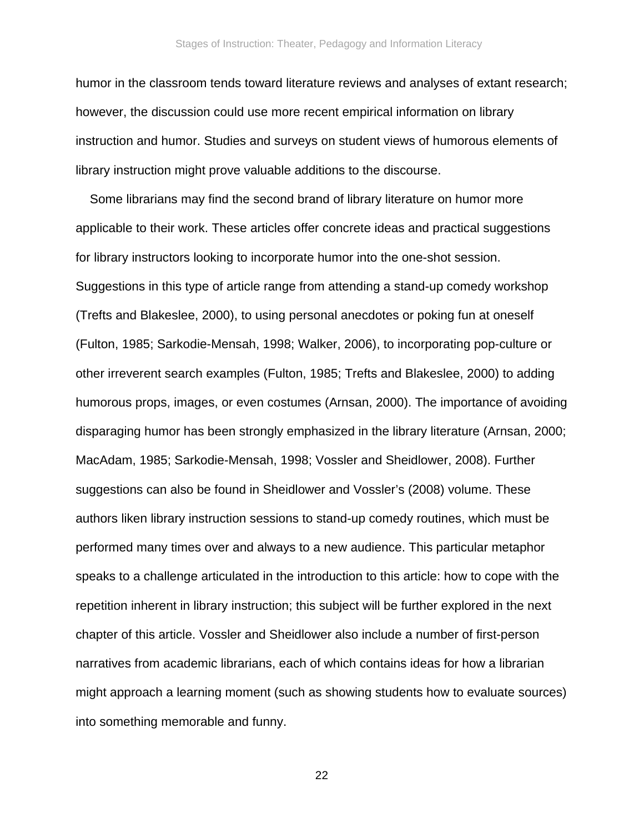humor in the classroom tends toward literature reviews and analyses of extant research; however, the discussion could use more recent empirical information on library instruction and humor. Studies and surveys on student views of humorous elements of library instruction might prove valuable additions to the discourse.

Some librarians may find the second brand of library literature on humor more applicable to their work. These articles offer concrete ideas and practical suggestions for library instructors looking to incorporate humor into the one-shot session. Suggestions in this type of article range from attending a stand-up comedy workshop (Trefts and Blakeslee, 2000), to using personal anecdotes or poking fun at oneself (Fulton, 1985; Sarkodie-Mensah, 1998; Walker, 2006), to incorporating pop-culture or other irreverent search examples (Fulton, 1985; Trefts and Blakeslee, 2000) to adding humorous props, images, or even costumes (Arnsan, 2000). The importance of avoiding disparaging humor has been strongly emphasized in the library literature (Arnsan, 2000; MacAdam, 1985; Sarkodie-Mensah, 1998; Vossler and Sheidlower, 2008). Further suggestions can also be found in Sheidlower and Vossler's (2008) volume. These authors liken library instruction sessions to stand-up comedy routines, which must be performed many times over and always to a new audience. This particular metaphor speaks to a challenge articulated in the introduction to this article: how to cope with the repetition inherent in library instruction; this subject will be further explored in the next chapter of this article. Vossler and Sheidlower also include a number of first-person narratives from academic librarians, each of which contains ideas for how a librarian might approach a learning moment (such as showing students how to evaluate sources) into something memorable and funny.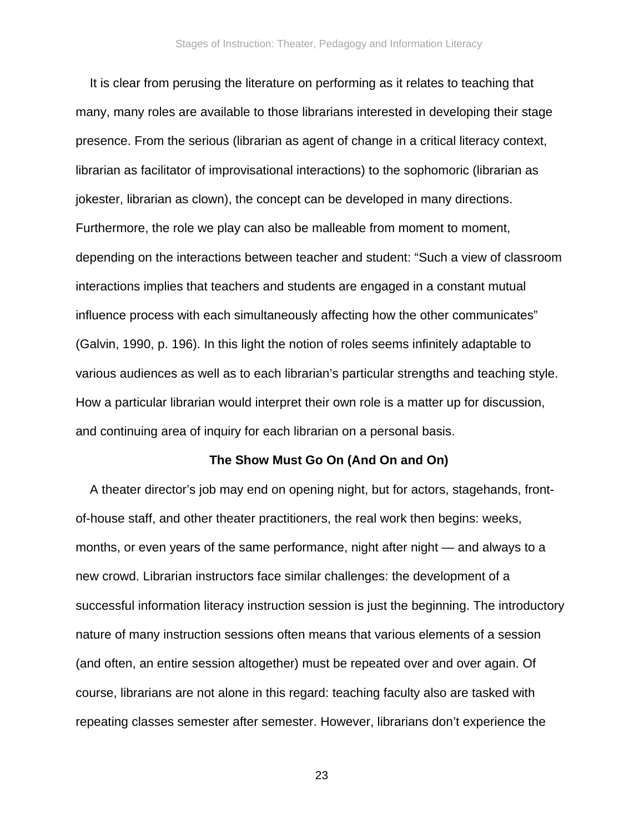It is clear from perusing the literature on performing as it relates to teaching that many, many roles are available to those librarians interested in developing their stage presence. From the serious (librarian as agent of change in a critical literacy context, librarian as facilitator of improvisational interactions) to the sophomoric (librarian as jokester, librarian as clown), the concept can be developed in many directions. Furthermore, the role we play can also be malleable from moment to moment, depending on the interactions between teacher and student: "Such a view of classroom interactions implies that teachers and students are engaged in a constant mutual influence process with each simultaneously affecting how the other communicates" (Galvin, 1990, p. 196). In this light the notion of roles seems infinitely adaptable to various audiences as well as to each librarian's particular strengths and teaching style. How a particular librarian would interpret their own role is a matter up for discussion, and continuing area of inquiry for each librarian on a personal basis.

#### **The Show Must Go On (And On and On)**

A theater director's job may end on opening night, but for actors, stagehands, frontof-house staff, and other theater practitioners, the real work then begins: weeks, months, or even years of the same performance, night after night — and always to a new crowd. Librarian instructors face similar challenges: the development of a successful information literacy instruction session is just the beginning. The introductory nature of many instruction sessions often means that various elements of a session (and often, an entire session altogether) must be repeated over and over again. Of course, librarians are not alone in this regard: teaching faculty also are tasked with repeating classes semester after semester. However, librarians don't experience the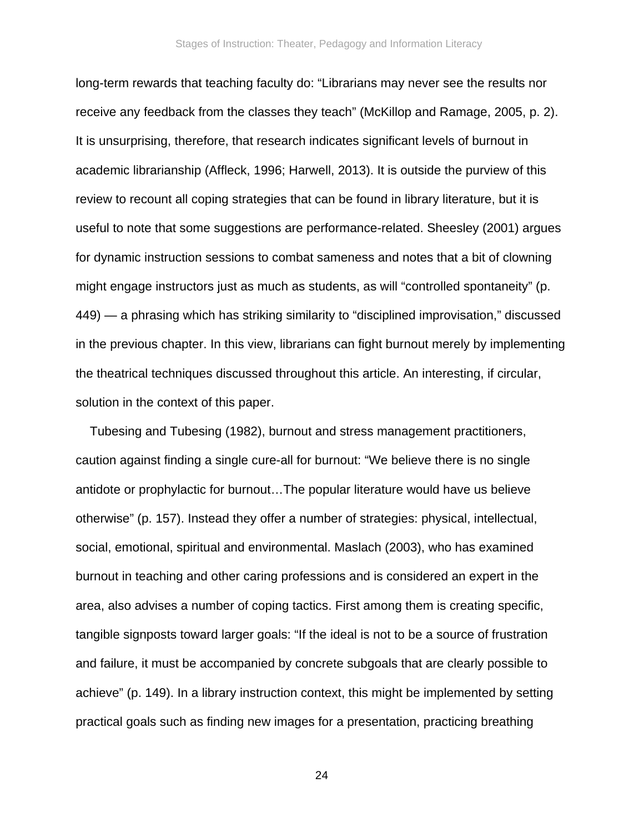long-term rewards that teaching faculty do: "Librarians may never see the results nor receive any feedback from the classes they teach" (McKillop and Ramage, 2005, p. 2). It is unsurprising, therefore, that research indicates significant levels of burnout in academic librarianship (Affleck, 1996; Harwell, 2013). It is outside the purview of this review to recount all coping strategies that can be found in library literature, but it is useful to note that some suggestions are performance-related. Sheesley (2001) argues for dynamic instruction sessions to combat sameness and notes that a bit of clowning might engage instructors just as much as students, as will "controlled spontaneity" (p. 449) — a phrasing which has striking similarity to "disciplined improvisation," discussed in the previous chapter. In this view, librarians can fight burnout merely by implementing the theatrical techniques discussed throughout this article. An interesting, if circular, solution in the context of this paper.

Tubesing and Tubesing (1982), burnout and stress management practitioners, caution against finding a single cure-all for burnout: "We believe there is no single antidote or prophylactic for burnout…The popular literature would have us believe otherwise" (p. 157). Instead they offer a number of strategies: physical, intellectual, social, emotional, spiritual and environmental. Maslach (2003), who has examined burnout in teaching and other caring professions and is considered an expert in the area, also advises a number of coping tactics. First among them is creating specific, tangible signposts toward larger goals: "If the ideal is not to be a source of frustration and failure, it must be accompanied by concrete subgoals that are clearly possible to achieve" (p. 149). In a library instruction context, this might be implemented by setting practical goals such as finding new images for a presentation, practicing breathing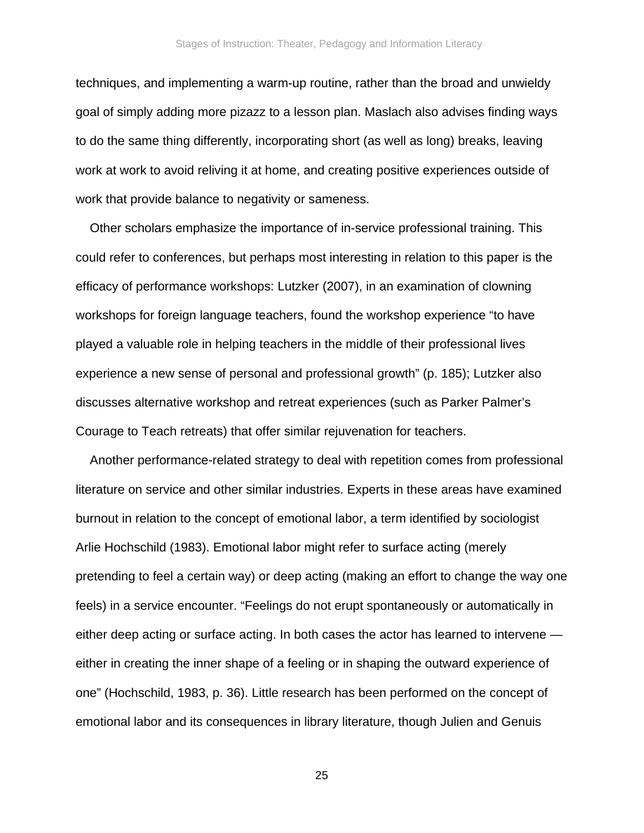techniques, and implementing a warm-up routine, rather than the broad and unwieldy goal of simply adding more pizazz to a lesson plan. Maslach also advises finding ways to do the same thing differently, incorporating short (as well as long) breaks, leaving work at work to avoid reliving it at home, and creating positive experiences outside of work that provide balance to negativity or sameness.

Other scholars emphasize the importance of in-service professional training. This could refer to conferences, but perhaps most interesting in relation to this paper is the efficacy of performance workshops: Lutzker (2007), in an examination of clowning workshops for foreign language teachers, found the workshop experience "to have played a valuable role in helping teachers in the middle of their professional lives experience a new sense of personal and professional growth" (p. 185); Lutzker also discusses alternative workshop and retreat experiences (such as Parker Palmer's Courage to Teach retreats) that offer similar rejuvenation for teachers.

Another performance-related strategy to deal with repetition comes from professional literature on service and other similar industries. Experts in these areas have examined burnout in relation to the concept of emotional labor, a term identified by sociologist Arlie Hochschild (1983). Emotional labor might refer to surface acting (merely pretending to feel a certain way) or deep acting (making an effort to change the way one feels) in a service encounter. "Feelings do not erupt spontaneously or automatically in either deep acting or surface acting. In both cases the actor has learned to intervene either in creating the inner shape of a feeling or in shaping the outward experience of one" (Hochschild, 1983, p. 36). Little research has been performed on the concept of emotional labor and its consequences in library literature, though Julien and Genuis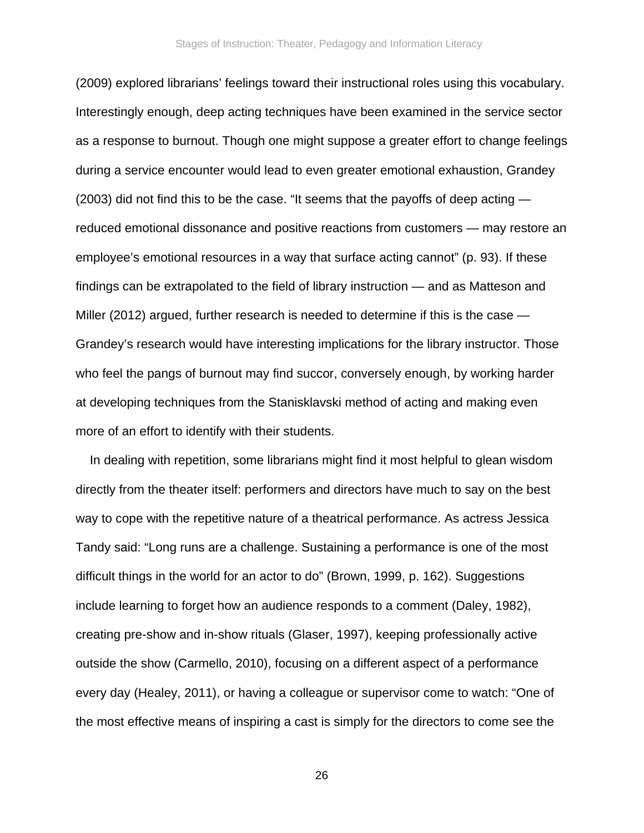(2009) explored librarians' feelings toward their instructional roles using this vocabulary. Interestingly enough, deep acting techniques have been examined in the service sector as a response to burnout. Though one might suppose a greater effort to change feelings during a service encounter would lead to even greater emotional exhaustion, Grandey (2003) did not find this to be the case. "It seems that the payoffs of deep acting reduced emotional dissonance and positive reactions from customers — may restore an employee's emotional resources in a way that surface acting cannot" (p. 93). If these findings can be extrapolated to the field of library instruction — and as Matteson and Miller (2012) argued, further research is needed to determine if this is the case — Grandey's research would have interesting implications for the library instructor. Those who feel the pangs of burnout may find succor, conversely enough, by working harder at developing techniques from the Stanisklavski method of acting and making even more of an effort to identify with their students.

In dealing with repetition, some librarians might find it most helpful to glean wisdom directly from the theater itself: performers and directors have much to say on the best way to cope with the repetitive nature of a theatrical performance. As actress Jessica Tandy said: "Long runs are a challenge. Sustaining a performance is one of the most difficult things in the world for an actor to do" (Brown, 1999, p. 162). Suggestions include learning to forget how an audience responds to a comment (Daley, 1982), creating pre-show and in-show rituals (Glaser, 1997), keeping professionally active outside the show (Carmello, 2010), focusing on a different aspect of a performance every day (Healey, 2011), or having a colleague or supervisor come to watch: "One of the most effective means of inspiring a cast is simply for the directors to come see the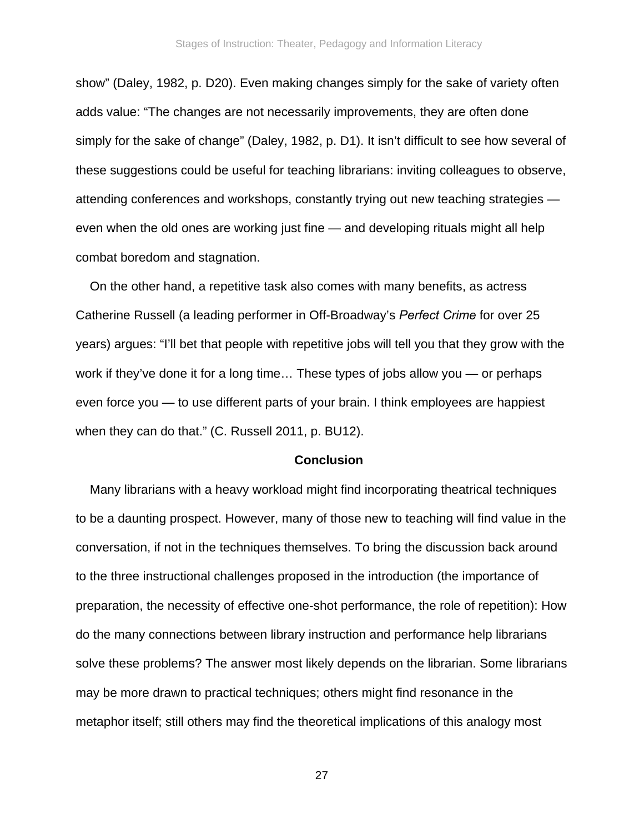show" (Daley, 1982, p. D20). Even making changes simply for the sake of variety often adds value: "The changes are not necessarily improvements, they are often done simply for the sake of change" (Daley, 1982, p. D1). It isn't difficult to see how several of these suggestions could be useful for teaching librarians: inviting colleagues to observe, attending conferences and workshops, constantly trying out new teaching strategies even when the old ones are working just fine — and developing rituals might all help combat boredom and stagnation.

On the other hand, a repetitive task also comes with many benefits, as actress Catherine Russell (a leading performer in Off-Broadway's *Perfect Crime* for over 25 years) argues: "I'll bet that people with repetitive jobs will tell you that they grow with the work if they've done it for a long time… These types of jobs allow you — or perhaps even force you — to use different parts of your brain. I think employees are happiest when they can do that." (C. Russell 2011, p. BU12).

#### **Conclusion**

Many librarians with a heavy workload might find incorporating theatrical techniques to be a daunting prospect. However, many of those new to teaching will find value in the conversation, if not in the techniques themselves. To bring the discussion back around to the three instructional challenges proposed in the introduction (the importance of preparation, the necessity of effective one-shot performance, the role of repetition): How do the many connections between library instruction and performance help librarians solve these problems? The answer most likely depends on the librarian. Some librarians may be more drawn to practical techniques; others might find resonance in the metaphor itself; still others may find the theoretical implications of this analogy most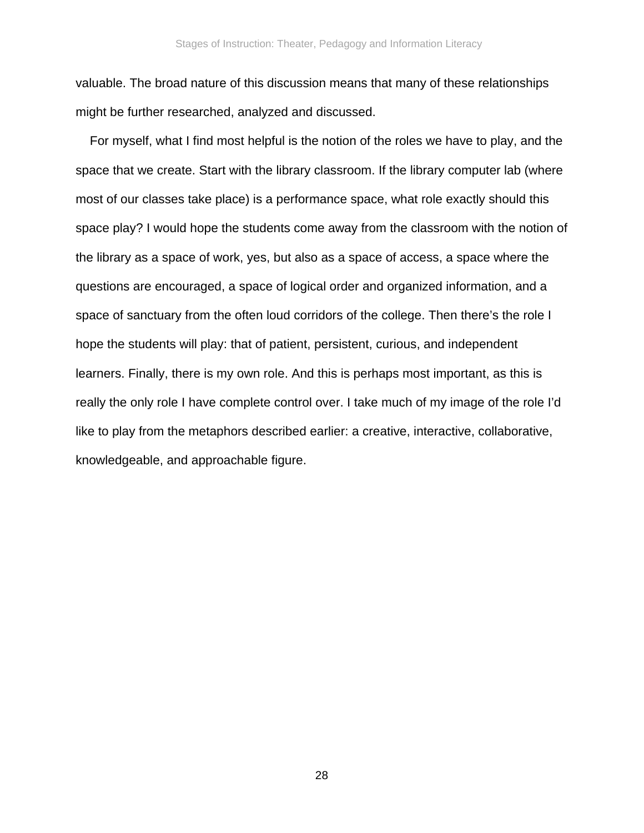valuable. The broad nature of this discussion means that many of these relationships might be further researched, analyzed and discussed.

For myself, what I find most helpful is the notion of the roles we have to play, and the space that we create. Start with the library classroom. If the library computer lab (where most of our classes take place) is a performance space, what role exactly should this space play? I would hope the students come away from the classroom with the notion of the library as a space of work, yes, but also as a space of access, a space where the questions are encouraged, a space of logical order and organized information, and a space of sanctuary from the often loud corridors of the college. Then there's the role I hope the students will play: that of patient, persistent, curious, and independent learners. Finally, there is my own role. And this is perhaps most important, as this is really the only role I have complete control over. I take much of my image of the role I'd like to play from the metaphors described earlier: a creative, interactive, collaborative, knowledgeable, and approachable figure.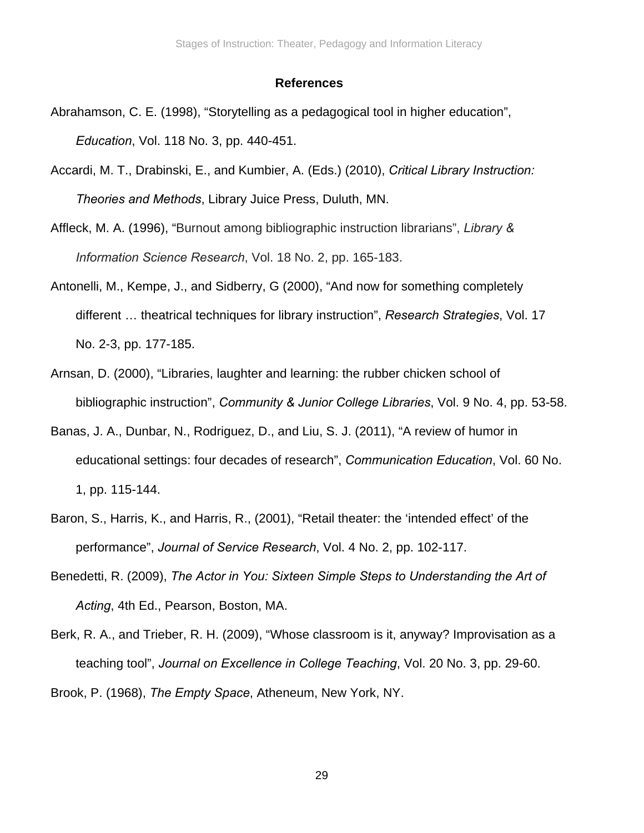### **References**

- Abrahamson, C. E. (1998), "Storytelling as a pedagogical tool in higher education", *Education*, Vol. 118 No. 3, pp. 440-451.
- Accardi, M. T., Drabinski, E., and Kumbier, A. (Eds.) (2010), *Critical Library Instruction: Theories and Methods*, Library Juice Press, Duluth, MN.
- Affleck, M. A. (1996), "Burnout among bibliographic instruction librarians", *Library & Information Science Research*, Vol. 18 No. 2, pp. 165-183.
- Antonelli, M., Kempe, J., and Sidberry, G (2000), "And now for something completely different … theatrical techniques for library instruction", *Research Strategies*, Vol. 17 No. 2-3, pp. 177-185.
- Arnsan, D. (2000), "Libraries, laughter and learning: the rubber chicken school of bibliographic instruction", *Community & Junior College Libraries*, Vol. 9 No. 4, pp. 53-58.
- Banas, J. A., Dunbar, N., Rodriguez, D., and Liu, S. J. (2011), "A review of humor in educational settings: four decades of research", *Communication Education*, Vol. 60 No. 1, pp. 115-144.
- Baron, S., Harris, K., and Harris, R., (2001), "Retail theater: the 'intended effect' of the performance", *Journal of Service Research*, Vol. 4 No. 2, pp. 102-117.
- Benedetti, R. (2009), *The Actor in You: Sixteen Simple Steps to Understanding the Art of Acting*, 4th Ed., Pearson, Boston, MA.
- Berk, R. A., and Trieber, R. H. (2009), "Whose classroom is it, anyway? Improvisation as a teaching tool", *Journal on Excellence in College Teaching*, Vol. 20 No. 3, pp. 29-60. Brook, P. (1968), *The Empty Space*, Atheneum, New York, NY.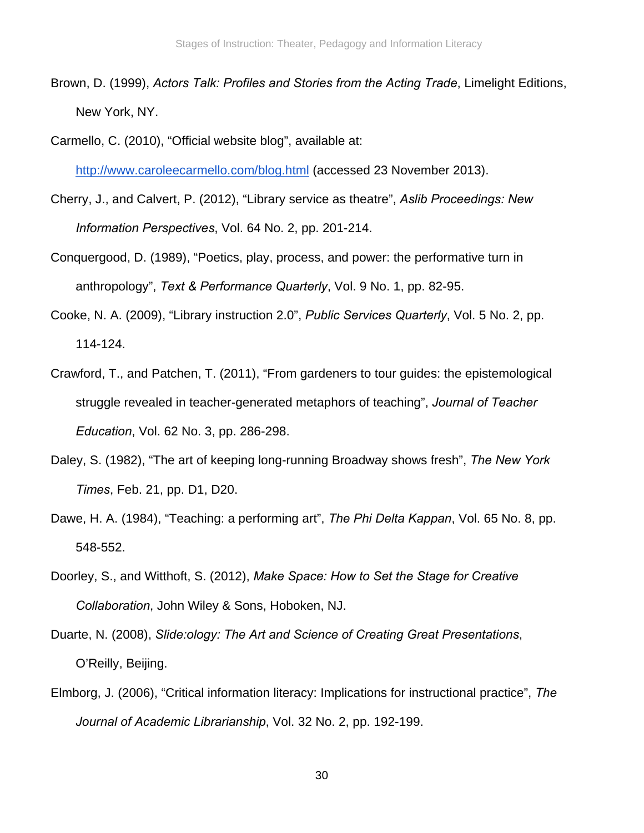- Brown, D. (1999), *Actors Talk: Profiles and Stories from the Acting Trade*, Limelight Editions, New York, NY.
- Carmello, C. (2010), "Official website blog", available at:

http://www.caroleecarmello.com/blog.html (accessed 23 November 2013).

Cherry, J., and Calvert, P. (2012), "Library service as theatre", *Aslib Proceedings: New Information Perspectives*, Vol. 64 No. 2, pp. 201-214.

Conquergood, D. (1989), "Poetics, play, process, and power: the performative turn in anthropology", *Text & Performance Quarterly*, Vol. 9 No. 1, pp. 82-95.

- Cooke, N. A. (2009), "Library instruction 2.0", *Public Services Quarterly*, Vol. 5 No. 2, pp. 114-124.
- Crawford, T., and Patchen, T. (2011), "From gardeners to tour guides: the epistemological struggle revealed in teacher-generated metaphors of teaching", *Journal of Teacher Education*, Vol. 62 No. 3, pp. 286-298.
- Daley, S. (1982), "The art of keeping long-running Broadway shows fresh", *The New York Times*, Feb. 21, pp. D1, D20.
- Dawe, H. A. (1984), "Teaching: a performing art", *The Phi Delta Kappan*, Vol. 65 No. 8, pp. 548-552.
- Doorley, S., and Witthoft, S. (2012), *Make Space: How to Set the Stage for Creative Collaboration*, John Wiley & Sons, Hoboken, NJ.
- Duarte, N. (2008), *Slide:ology: The Art and Science of Creating Great Presentations*, O'Reilly, Beijing.
- Elmborg, J. (2006), "Critical information literacy: Implications for instructional practice", *The Journal of Academic Librarianship*, Vol. 32 No. 2, pp. 192-199.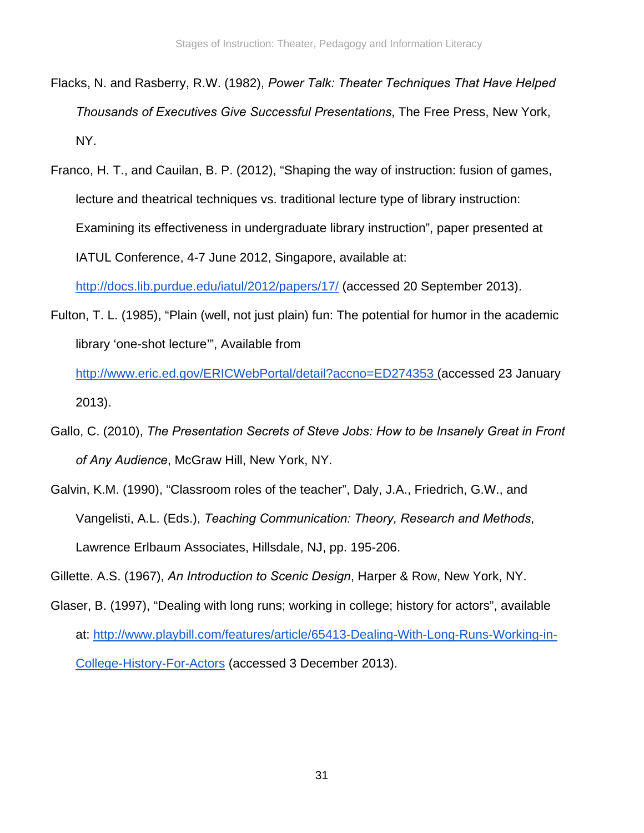- Flacks, N. and Rasberry, R.W. (1982), *Power Talk: Theater Techniques That Have Helped Thousands of Executives Give Successful Presentations*, The Free Press, New York, NY.
- Franco, H. T., and Cauilan, B. P. (2012), "Shaping the way of instruction: fusion of games, lecture and theatrical techniques vs. traditional lecture type of library instruction: Examining its effectiveness in undergraduate library instruction", paper presented at IATUL Conference, 4-7 June 2012, Singapore, available at: http://docs.lib.purdue.edu/iatul/2012/papers/17/ (accessed 20 September 2013).
- Fulton, T. L. (1985), "Plain (well, not just plain) fun: The potential for humor in the academic library 'one-shot lecture'", Available from
	- http://www.eric.ed.gov/ERICWebPortal/detail?accno=ED274353 (accessed 23 January 2013).
- Gallo, C. (2010), *The Presentation Secrets of Steve Jobs: How to be Insanely Great in Front of Any Audience*, McGraw Hill, New York, NY.
- Galvin, K.M. (1990), "Classroom roles of the teacher", Daly, J.A., Friedrich, G.W., and Vangelisti, A.L. (Eds.), *Teaching Communication: Theory, Research and Methods*, Lawrence Erlbaum Associates, Hillsdale, NJ, pp. 195-206.
- Gillette. A.S. (1967), *An Introduction to Scenic Design*, Harper & Row, New York, NY.
- Glaser, B. (1997), "Dealing with long runs; working in college; history for actors", available at: http://www.playbill.com/features/article/65413-Dealing-With-Long-Runs-Working-in-College-History-For-Actors (accessed 3 December 2013).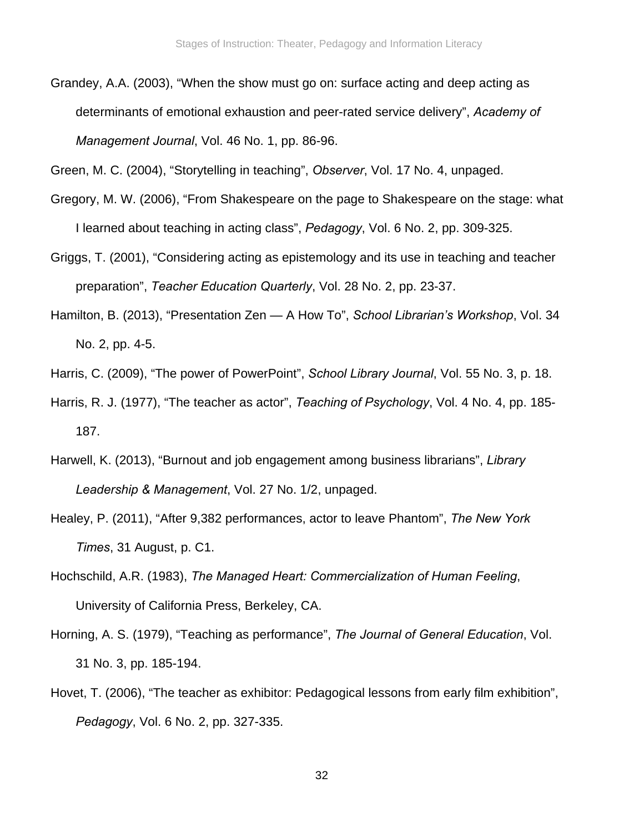Grandey, A.A. (2003), "When the show must go on: surface acting and deep acting as determinants of emotional exhaustion and peer-rated service delivery", *Academy of Management Journal*, Vol. 46 No. 1, pp. 86-96.

Green, M. C. (2004), "Storytelling in teaching", *Observer*, Vol. 17 No. 4, unpaged.

- Gregory, M. W. (2006), "From Shakespeare on the page to Shakespeare on the stage: what I learned about teaching in acting class", *Pedagogy*, Vol. 6 No. 2, pp. 309-325.
- Griggs, T. (2001), "Considering acting as epistemology and its use in teaching and teacher preparation", *Teacher Education Quarterly*, Vol. 28 No. 2, pp. 23-37.
- Hamilton, B. (2013), "Presentation Zen A How To", *School Librarian's Workshop*, Vol. 34 No. 2, pp. 4-5.

Harris, C. (2009), "The power of PowerPoint", *School Library Journal*, Vol. 55 No. 3, p. 18.

- Harris, R. J. (1977), "The teacher as actor", *Teaching of Psychology*, Vol. 4 No. 4, pp. 185- 187.
- Harwell, K. (2013), "Burnout and job engagement among business librarians", *Library Leadership & Management*, Vol. 27 No. 1/2, unpaged.
- Healey, P. (2011), "After 9,382 performances, actor to leave Phantom", *The New York Times*, 31 August, p. C1.
- Hochschild, A.R. (1983), *The Managed Heart: Commercialization of Human Feeling*, University of California Press, Berkeley, CA.
- Horning, A. S. (1979), "Teaching as performance", *The Journal of General Education*, Vol. 31 No. 3, pp. 185-194.
- Hovet, T. (2006), "The teacher as exhibitor: Pedagogical lessons from early film exhibition", *Pedagogy*, Vol. 6 No. 2, pp. 327-335.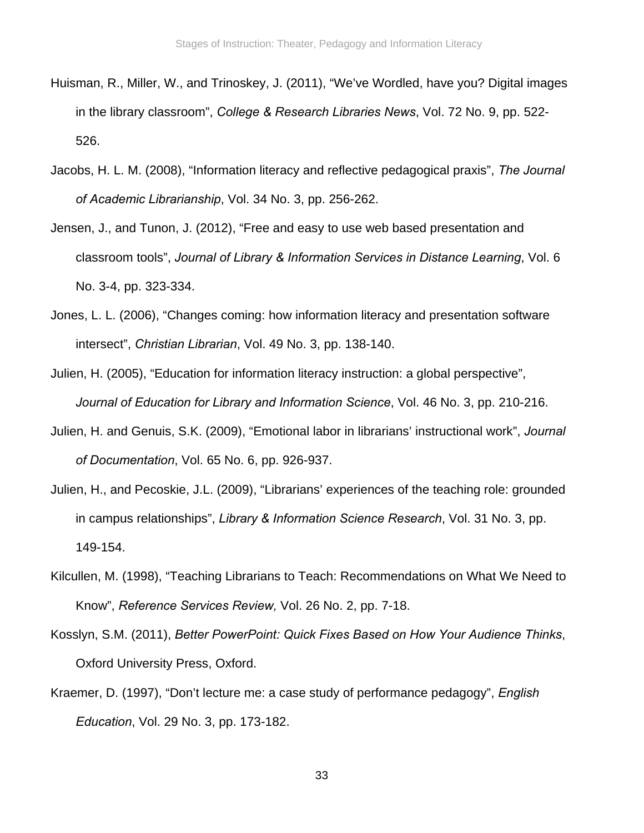- Huisman, R., Miller, W., and Trinoskey, J. (2011), "We've Wordled, have you? Digital images in the library classroom", *College & Research Libraries News*, Vol. 72 No. 9, pp. 522- 526.
- Jacobs, H. L. M. (2008), "Information literacy and reflective pedagogical praxis", *The Journal of Academic Librarianship*, Vol. 34 No. 3, pp. 256-262.
- Jensen, J., and Tunon, J. (2012), "Free and easy to use web based presentation and classroom tools", *Journal of Library & Information Services in Distance Learning*, Vol. 6 No. 3-4, pp. 323-334.
- Jones, L. L. (2006), "Changes coming: how information literacy and presentation software intersect", *Christian Librarian*, Vol. 49 No. 3, pp. 138-140.
- Julien, H. (2005), "Education for information literacy instruction: a global perspective", *Journal of Education for Library and Information Science*, Vol. 46 No. 3, pp. 210-216.
- Julien, H. and Genuis, S.K. (2009), "Emotional labor in librarians' instructional work", *Journal of Documentation*, Vol. 65 No. 6, pp. 926-937.
- Julien, H., and Pecoskie, J.L. (2009), "Librarians' experiences of the teaching role: grounded in campus relationships", *Library & Information Science Research*, Vol. 31 No. 3, pp. 149-154.
- Kilcullen, M. (1998), "Teaching Librarians to Teach: Recommendations on What We Need to Know", *Reference Services Review,* Vol. 26 No. 2, pp. 7-18.
- Kosslyn, S.M. (2011), *Better PowerPoint: Quick Fixes Based on How Your Audience Thinks*, Oxford University Press, Oxford.
- Kraemer, D. (1997), "Don't lecture me: a case study of performance pedagogy", *English Education*, Vol. 29 No. 3, pp. 173-182.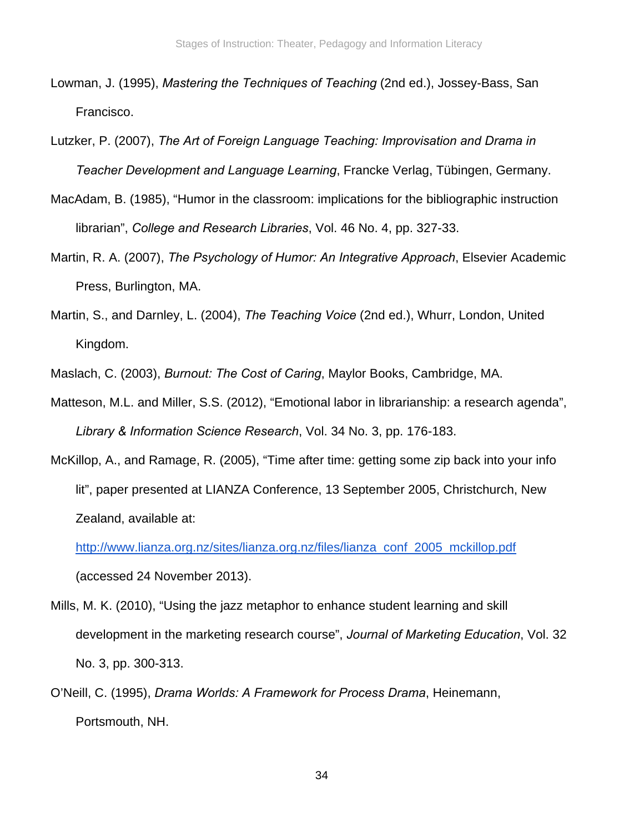- Lowman, J. (1995), *Mastering the Techniques of Teaching* (2nd ed.), Jossey-Bass, San Francisco.
- Lutzker, P. (2007), *The Art of Foreign Language Teaching: Improvisation and Drama in Teacher Development and Language Learning*, Francke Verlag, Tübingen, Germany.
- MacAdam, B. (1985), "Humor in the classroom: implications for the bibliographic instruction librarian", *College and Research Libraries*, Vol. 46 No. 4, pp. 327-33.
- Martin, R. A. (2007), *The Psychology of Humor: An Integrative Approach*, Elsevier Academic Press, Burlington, MA.
- Martin, S., and Darnley, L. (2004), *The Teaching Voice* (2nd ed.), Whurr, London, United Kingdom.
- Maslach, C. (2003), *Burnout: The Cost of Caring*, Maylor Books, Cambridge, MA.
- Matteson, M.L. and Miller, S.S. (2012), "Emotional labor in librarianship: a research agenda", *Library & Information Science Research*, Vol. 34 No. 3, pp. 176-183.
- McKillop, A., and Ramage, R. (2005), "Time after time: getting some zip back into your info lit", paper presented at LIANZA Conference, 13 September 2005, Christchurch, New Zealand, available at:

http://www.lianza.org.nz/sites/lianza.org.nz/files/lianza\_conf\_2005\_mckillop.pdf

(accessed 24 November 2013).

- Mills, M. K. (2010), "Using the jazz metaphor to enhance student learning and skill development in the marketing research course", *Journal of Marketing Education*, Vol. 32 No. 3, pp. 300-313.
- O'Neill, C. (1995), *Drama Worlds: A Framework for Process Drama*, Heinemann, Portsmouth, NH.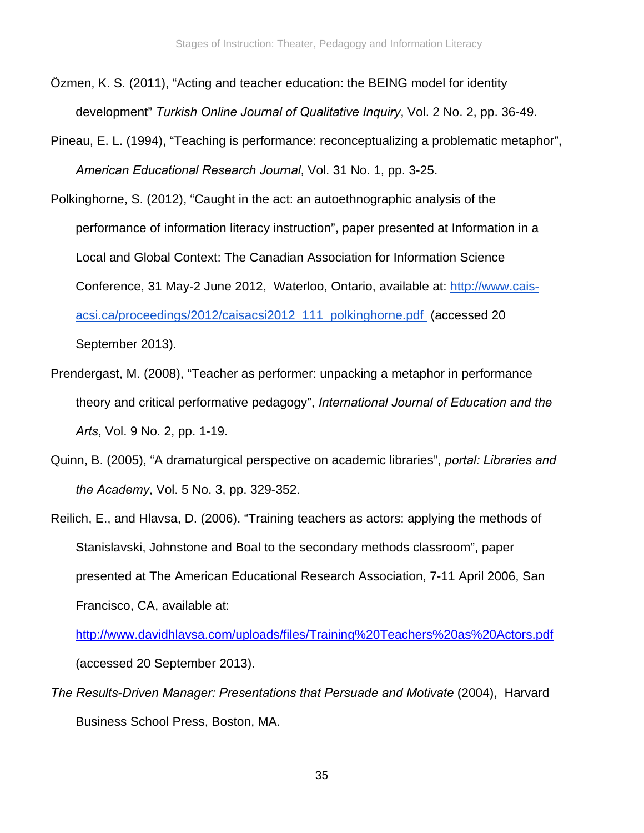Özmen, K. S. (2011), "Acting and teacher education: the BEING model for identity development" *Turkish Online Journal of Qualitative Inquiry*, Vol. 2 No. 2, pp. 36-49.

- Pineau, E. L. (1994), "Teaching is performance: reconceptualizing a problematic metaphor", *American Educational Research Journal*, Vol. 31 No. 1, pp. 3-25.
- Polkinghorne, S. (2012), "Caught in the act: an autoethnographic analysis of the performance of information literacy instruction", paper presented at Information in a Local and Global Context: The Canadian Association for Information Science Conference, 31 May-2 June 2012, Waterloo, Ontario, available at: http://www.caisacsi.ca/proceedings/2012/caisacsi2012\_111\_polkinghorne.pdf (accessed 20 September 2013).
- Prendergast, M. (2008), "Teacher as performer: unpacking a metaphor in performance theory and critical performative pedagogy", *International Journal of Education and the Arts*, Vol. 9 No. 2, pp. 1-19.
- Quinn, B. (2005), "A dramaturgical perspective on academic libraries", *portal: Libraries and the Academy*, Vol. 5 No. 3, pp. 329-352.
- Reilich, E., and Hlavsa, D. (2006). "Training teachers as actors: applying the methods of Stanislavski, Johnstone and Boal to the secondary methods classroom", paper presented at The American Educational Research Association, 7-11 April 2006, San Francisco, CA, available at:

http://www.davidhlavsa.com/uploads/files/Training%20Teachers%20as%20Actors.pdf (accessed 20 September 2013).

*The Results-Driven Manager: Presentations that Persuade and Motivate* (2004), Harvard Business School Press, Boston, MA.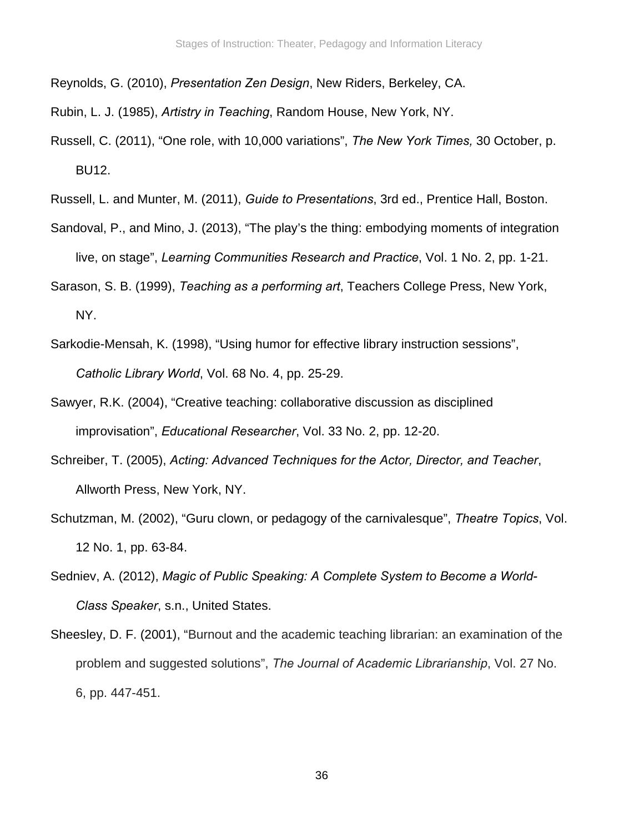Reynolds, G. (2010), *Presentation Zen Design*, New Riders, Berkeley, CA.

Rubin, L. J. (1985), *Artistry in Teaching*, Random House, New York, NY.

- Russell, C. (2011), "One role, with 10,000 variations", *The New York Times,* 30 October, p. BU12.
- Russell, L. and Munter, M. (2011), *Guide to Presentations*, 3rd ed., Prentice Hall, Boston.
- Sandoval, P., and Mino, J. (2013), "The play's the thing: embodying moments of integration live, on stage", *Learning Communities Research and Practice*, Vol. 1 No. 2, pp. 1-21.
- Sarason, S. B. (1999), *Teaching as a performing art*, Teachers College Press, New York, NY.
- Sarkodie-Mensah, K. (1998), "Using humor for effective library instruction sessions", *Catholic Library World*, Vol. 68 No. 4, pp. 25-29.
- Sawyer, R.K. (2004), "Creative teaching: collaborative discussion as disciplined improvisation", *Educational Researcher*, Vol. 33 No. 2, pp. 12-20.
- Schreiber, T. (2005), *Acting: Advanced Techniques for the Actor, Director, and Teacher*, Allworth Press, New York, NY.
- Schutzman, M. (2002), "Guru clown, or pedagogy of the carnivalesque", *Theatre Topics*, Vol. 12 No. 1, pp. 63-84.
- Sedniev, A. (2012), *Magic of Public Speaking: A Complete System to Become a World-Class Speaker*, s.n., United States.
- Sheesley, D. F. (2001), "Burnout and the academic teaching librarian: an examination of the problem and suggested solutions", *The Journal of Academic Librarianship*, Vol. 27 No. 6, pp. 447-451.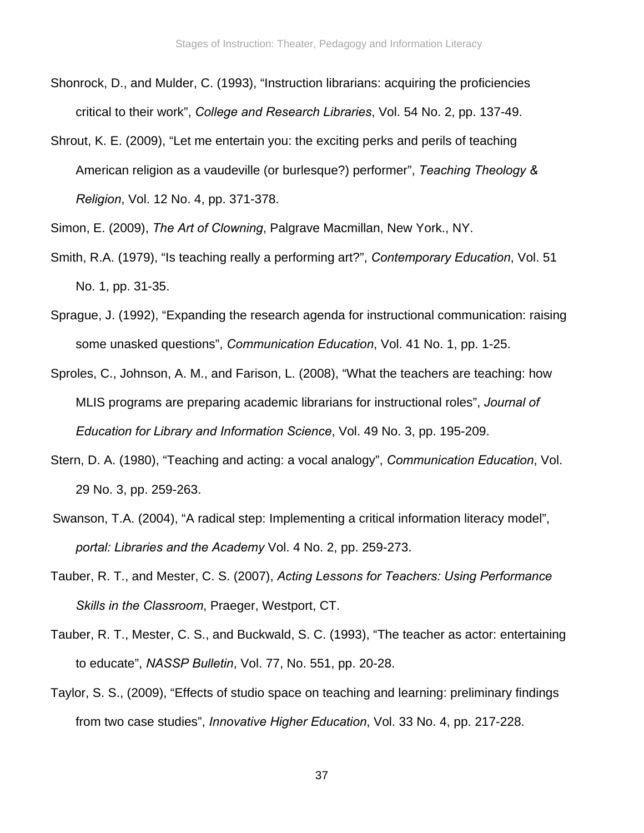- Shonrock, D., and Mulder, C. (1993), "Instruction librarians: acquiring the proficiencies critical to their work", *College and Research Libraries*, Vol. 54 No. 2, pp. 137-49.
- Shrout, K. E. (2009), "Let me entertain you: the exciting perks and perils of teaching American religion as a vaudeville (or burlesque?) performer", *Teaching Theology & Religion*, Vol. 12 No. 4, pp. 371-378.
- Simon, E. (2009), *The Art of Clowning*, Palgrave Macmillan, New York., NY.
- Smith, R.A. (1979), "Is teaching really a performing art?", *Contemporary Education*, Vol. 51 No. 1, pp. 31-35.
- Sprague, J. (1992), "Expanding the research agenda for instructional communication: raising some unasked questions", *Communication Education*, Vol. 41 No. 1, pp. 1-25.
- Sproles, C., Johnson, A. M., and Farison, L. (2008), "What the teachers are teaching: how MLIS programs are preparing academic librarians for instructional roles", *Journal of Education for Library and Information Science*, Vol. 49 No. 3, pp. 195-209.
- Stern, D. A. (1980), "Teaching and acting: a vocal analogy", *Communication Education*, Vol. 29 No. 3, pp. 259-263.
- Swanson, T.A. (2004), "A radical step: Implementing a critical information literacy model", *portal: Libraries and the Academy* Vol. 4 No. 2, pp. 259-273.
- Tauber, R. T., and Mester, C. S. (2007), *Acting Lessons for Teachers: Using Performance Skills in the Classroom*, Praeger, Westport, CT.
- Tauber, R. T., Mester, C. S., and Buckwald, S. C. (1993), "The teacher as actor: entertaining to educate", *NASSP Bulletin*, Vol. 77, No. 551, pp. 20-28.
- Taylor, S. S., (2009), "Effects of studio space on teaching and learning: preliminary findings from two case studies", *Innovative Higher Education*, Vol. 33 No. 4, pp. 217-228.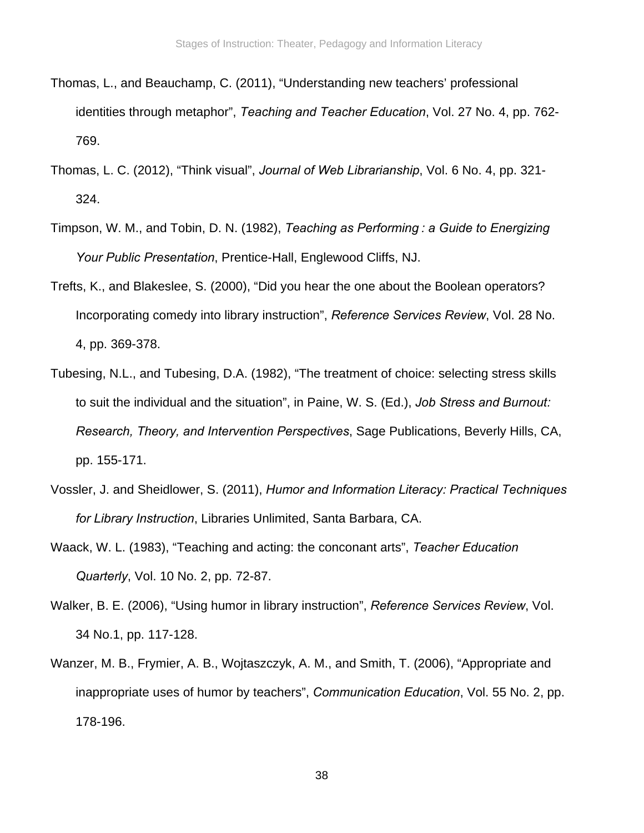- Thomas, L., and Beauchamp, C. (2011), "Understanding new teachers' professional identities through metaphor", *Teaching and Teacher Education*, Vol. 27 No. 4, pp. 762- 769.
- Thomas, L. C. (2012), "Think visual", *Journal of Web Librarianship*, Vol. 6 No. 4, pp. 321- 324.
- Timpson, W. M., and Tobin, D. N. (1982), *Teaching as Performing : a Guide to Energizing Your Public Presentation*, Prentice-Hall, Englewood Cliffs, NJ.
- Trefts, K., and Blakeslee, S. (2000), "Did you hear the one about the Boolean operators? Incorporating comedy into library instruction", *Reference Services Review*, Vol. 28 No. 4, pp. 369-378.
- Tubesing, N.L., and Tubesing, D.A. (1982), "The treatment of choice: selecting stress skills to suit the individual and the situation", in Paine, W. S. (Ed.), *Job Stress and Burnout: Research, Theory, and Intervention Perspectives*, Sage Publications, Beverly Hills, CA, pp. 155-171.
- Vossler, J. and Sheidlower, S. (2011), *Humor and Information Literacy: Practical Techniques for Library Instruction*, Libraries Unlimited, Santa Barbara, CA.
- Waack, W. L. (1983), "Teaching and acting: the conconant arts", *Teacher Education Quarterly*, Vol. 10 No. 2, pp. 72-87.
- Walker, B. E. (2006), "Using humor in library instruction", *Reference Services Review*, Vol. 34 No.1, pp. 117-128.
- Wanzer, M. B., Frymier, A. B., Wojtaszczyk, A. M., and Smith, T. (2006), "Appropriate and inappropriate uses of humor by teachers", *Communication Education*, Vol. 55 No. 2, pp. 178-196.